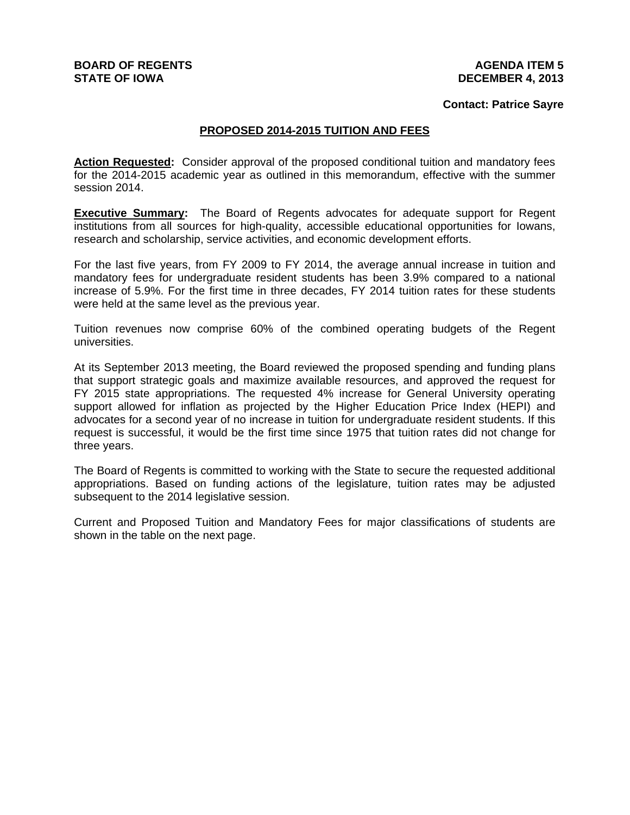# **BOARD OF REGENTS STATE OF IOWA**

### **AGENDA ITEM 5 DECEMBER 4, 2013**

### **Contact: Patrice Sayre**

# **PROPOSED 2014-2015 TUITION AND FEES**

**Action Requested:** Consider approval of the proposed conditional tuition and mandatory fees for the 2014-2015 academic year as outlined in this memorandum, effective with the summer session 2014.

**Executive Summary:** The Board of Regents advocates for adequate support for Regent institutions from all sources for high-quality, accessible educational opportunities for Iowans, research and scholarship, service activities, and economic development efforts.

For the last five years, from FY 2009 to FY 2014, the average annual increase in tuition and mandatory fees for undergraduate resident students has been 3.9% compared to a national increase of 5.9%. For the first time in three decades, FY 2014 tuition rates for these students were held at the same level as the previous year.

Tuition revenues now comprise 60% of the combined operating budgets of the Regent universities.

At its September 2013 meeting, the Board reviewed the proposed spending and funding plans that support strategic goals and maximize available resources, and approved the request for FY 2015 state appropriations. The requested 4% increase for General University operating support allowed for inflation as projected by the Higher Education Price Index (HEPI) and advocates for a second year of no increase in tuition for undergraduate resident students. If this request is successful, it would be the first time since 1975 that tuition rates did not change for three years.

The Board of Regents is committed to working with the State to secure the requested additional appropriations. Based on funding actions of the legislature, tuition rates may be adjusted subsequent to the 2014 legislative session.

Current and Proposed Tuition and Mandatory Fees for major classifications of students are shown in the table on the next page.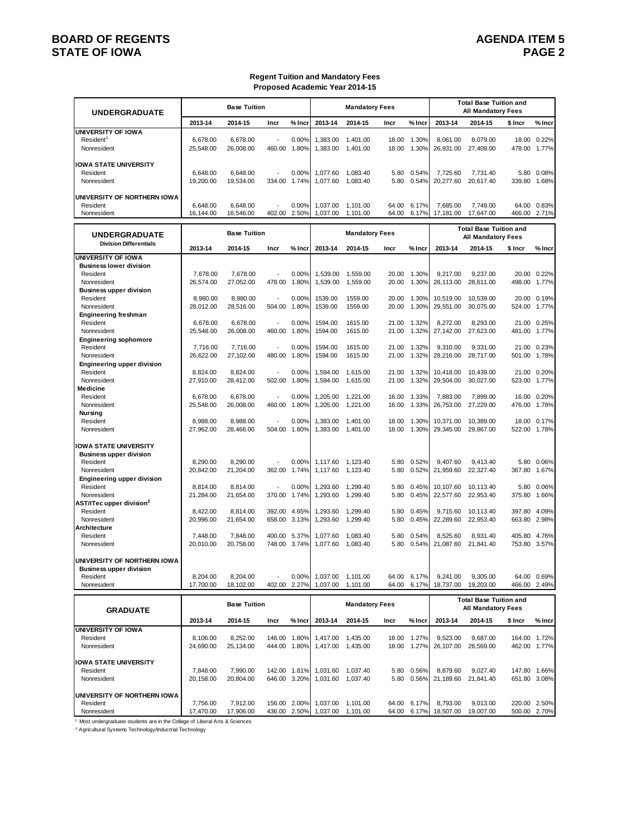# **BOARD OF REGENTS AGENUS AGENERY AGENERAL PROPERTY AGENERAL PROPERTY AGENERAL PROPERTY AGENERAL PROPERTY AGENERAL PROPERTY AGENERAL PROPERTY AGENERAL PROPERTY AGENERAL PROPERTY AGENERAL PROPERTY AGENERAL PROPERTY AGENERAL STATE OF IOWA PAGE 2**

#### **Regent Tuition and Mandatory Fees Proposed Academic Year 2014-15**

| <b>UNDERGRADUATE</b>                                                                                                     |                                    | <b>Base Tuition</b>                |                  |                              |                                  | <b>Mandatory Fees</b>            |                         |                         |                                    | <b>Total Base Tuition and</b><br><b>All Mandatory Fees</b> |                           |                         |
|--------------------------------------------------------------------------------------------------------------------------|------------------------------------|------------------------------------|------------------|------------------------------|----------------------------------|----------------------------------|-------------------------|-------------------------|------------------------------------|------------------------------------------------------------|---------------------------|-------------------------|
|                                                                                                                          | 2013-14                            | 2014-15                            | Incr             | $%$ Incr                     | 2013-14                          | 2014-15                          | Incr                    | % Incr                  | 2013-14                            | 2014-15                                                    | \$ Incr                   | % Incr                  |
| <b>UNIVERSITY OF IOWA</b><br>Resident <sup>1</sup><br>Nonresident                                                        | 6,678.00<br>25,548.00              | 6,678.00<br>26,008.00              | 460.00           | 0.00%<br>1.80%               | 1,383.00<br>1.383.00             | 1,401.00<br>1.401.00             | 18.00<br>18.00          | 1.30%<br>1.30%          | 8,061.00<br>26,931.00              | 8,079.00<br>27,409.00                                      | 18.00<br>478.00           | 0.22%<br>1.77%          |
| <b>IOWA STATE UNIVERSITY</b><br>Resident<br>Nonresident                                                                  | 6,648.00<br>19,200.00              | 6,648.00<br>19,534.00              | 334.00           | 0.00%<br>1.74%               | 1,077.60<br>1,077.60             | 1,083.40<br>1,083.40             | 5.80<br>5.80            | 0.54%<br>0.54%          | 7,725.60<br>20,277.60              | 7,731.40<br>20,617.40                                      | 5.80<br>339.80            | 0.08%<br>1.68%          |
| UNIVERSITY OF NORTHERN IOWA<br>Resident<br>Nonresident                                                                   | 6,648.00<br>16,144.00              | 6,648.00<br>16,546.00              | 402.00           | 0.00%<br>2.50%               | 1,037.00<br>1,037.00             | 1,101.00<br>1.101.00             | 64.00<br>64.00          | 6.17%<br>6.17%          | 7.685.00<br>17,181.00              | 7.749.00<br>17,647.00                                      | 64.00<br>466.00           | 0.83%<br>2.71%          |
| <b>UNDERGRADUATE</b><br><b>Division Differentials</b>                                                                    |                                    | <b>Base Tuition</b>                |                  |                              |                                  | <b>Mandatory Fees</b>            |                         |                         |                                    | <b>Total Base Tuition and</b><br><b>All Mandatory Fees</b> |                           |                         |
|                                                                                                                          | 2013-14                            | 2014-15                            | Incr             | $%$ Inci                     | 2013-14                          | 2014-15                          | Incr                    | $%$ Incr                | 2013-14                            | 2014-15                                                    | \$ Incr                   | % Incr                  |
| <b>UNIVERSITY OF IOWA</b><br><b>Business lower division</b><br>Resident<br>Nonresident<br><b>Business upper division</b> | 7,678.00<br>26,574.00              | 7,678.00<br>27,052.00              | 478.00           | 0.00%<br>1.80%               | 1,539.00<br>1,539.00             | 1,559.00<br>1,559.00             | 20.00<br>20.00          | 1.30%<br>1.30%          | 9,217.00<br>28,113.00              | 9,237.00<br>28,611.00                                      | 20.00<br>498.00           | 0.22%<br>1.77%          |
| Resident<br>Nonresident<br><b>Engineering freshman</b>                                                                   | 8,980.00<br>28,012.00              | 8,980.00<br>28.516.00              | 504.00           | 0.00%<br>1.80%               | 1539.00<br>1539.00               | 1559.00<br>1559.00               | 20.00<br>20.00          | 1.30%<br>1.30%          | 10,519.00<br>29,551.00             | 10,539.00<br>30,075.00                                     | 20.00<br>524.00           | 0.19%<br>1.77%          |
| Resident<br>Nonresident<br><b>Engineering sophomore</b><br>Resident                                                      | 6.678.00<br>25.548.00<br>7.716.00  | 6.678.00<br>26.008.00<br>7,716.00  | 460.00           | 0.00%<br>1.80%<br>0.00%      | 1594.00<br>1594.00<br>1594.00    | 1615.00<br>1615.00<br>1615.00    | 21.00<br>21.00<br>21.00 | 1.32%<br>1.32%<br>1.32% | 8,272.00<br>27,142.00<br>9,310.00  | 8,293.00<br>27,623.00<br>9,331.00                          | 21.00<br>481.00<br>21.00  | 0.25%<br>1.77%<br>0.23% |
| Nonresident<br><b>Engineering upper division</b><br>Resident                                                             | 26,622.00<br>8,824.00              | 27,102.00<br>8,824.00              | 480.00           | 1.80%<br>0.00%               | 1594.00<br>1,594.00              | 1615.00<br>1.615.00              | 21.00<br>21.00          | 1.32%<br>1.32%          | 28,216.00<br>10,418.00             | 28,717.00<br>10,439.00                                     | 501.00<br>21.00           | 1.78%<br>0.20%          |
| Nonresident<br>Medicine<br>Resident<br>Nonresident                                                                       | 27,910.00<br>6,678.00<br>25,548.00 | 28,412.00<br>6,678.00<br>26,008.00 | 502.00<br>460.00 | 1.80%<br>0.00%<br>1.80%      | 1,594.00<br>1,205.00<br>1,205.00 | 1.615.00<br>1,221.00<br>1,221.00 | 21.00<br>16.00<br>16.00 | 1.32%<br>1.33%<br>1.33% | 29,504.00<br>7,883.00<br>26,753.00 | 30,027.00<br>7,899.00<br>27,229.00                         | 523.00<br>16.00<br>476.00 | 1.77%<br>0.20%<br>1.78% |
| <b>Nursing</b><br>Resident<br>Nonresident                                                                                | 8,988.00<br>27,962.00              | 8,988.00<br>28,466.00              | 504.00           | 0.00%<br>1.80%               | 1,383.00<br>1,383.00             | 1,401.00<br>1,401.00             | 18.00<br>18.00          | 1.30%<br>1.30%          | 10,371.00<br>29,345.00             | 10,389.00<br>29,867.00                                     | 18.00<br>522.00           | 0.17%<br>1.78%          |
| <b>IOWA STATE UNIVERSITY</b><br><b>Business upper division</b><br>Resident                                               | 8,290.00                           | 8,290.00                           |                  | 0.00%                        | 1,117.60                         | 1,123.40                         | 5.80                    | 0.52%                   | 9,407.60                           | 9,413.40                                                   | 5.80                      | 0.06%                   |
| Nonresident<br><b>Engineering upper division</b><br>Resident                                                             | 20,842.00<br>8,814.00              | 21,204.00<br>8,814.00              | 362.00           | 1.74%<br>0.00%               | 1,117.60<br>1,293.60             | 1,123.40<br>1,299.40             | 5.80<br>5.80            | 0.52%<br>0.45%          | 21,959.60<br>10,107.60             | 22,327.40<br>10,113.40                                     | 367.80<br>5.80            | 1.67%<br>0.06%          |
| Nonresident<br>AST/ITec upper division <sup>2</sup><br>Resident                                                          | 21,284.00<br>8,422.00              | 21,654.00<br>8,814.00              | 370.00           | 1.74%<br>392.00 4.65%        | 1,293.60<br>1,293.60             | 1,299.40<br>1,299.40             | 5.80<br>5.80            | 0.45%<br>0.45%          | 22,577.60<br>9,715.60              | 22,953.40<br>10,113.40                                     | 375.80<br>397.80          | 1.66%<br>4.09%          |
| Nonresident<br>Architecture                                                                                              | 20,996.00                          | 21,654.00                          | 658.00           | 3.13%                        | 1,293.60<br>1.077.60             | 1,299.40                         | 5.80                    | 0.45%                   | 22,289.60                          | 22.953.40                                                  | 663.80                    | 2.98%                   |
| Resident<br>Nonresident                                                                                                  | 7,448.00<br>20,010.00              | 7,848.00<br>20,758.00              | 748.00           | 400.00 5.37%<br>3.74%        | 1,077.60                         | 1,083.40<br>1,083.40             | 5.80<br>5.80            | 0.54%<br>0.54%          | 8,525.60<br>21,087.60              | 8,931.40<br>21,841.40                                      | 405.80<br>753.80          | 4.76%<br>3.57%          |
| UNIVERSITY OF NORTHERN IOWA<br><b>Business upper division</b><br>Resident<br>Nonresident                                 | 8,204.00<br>17,700.00              | 8,204.00<br>18,102.00              |                  | 0.00%<br>402.00 2.27%        | 1,037.00<br>1,037.00             | 1,101.00<br>1,101.00             | 64.00<br>64.00          | 6.17%<br>6.17%          | 9,241.00<br>18,737.00              | 9,305.00<br>19,203.00                                      | 466.00                    | 64.00 0.69%<br>2.49%    |
| <b>GRADUATE</b>                                                                                                          |                                    | <b>Base Tuition</b>                |                  |                              |                                  | <b>Mandatory Fees</b>            |                         |                         |                                    | <b>Total Base Tuition and</b><br><b>All Mandatory Fees</b> |                           |                         |
|                                                                                                                          | 2013-14                            | 2014-15                            | Incr             | % Incr                       | 2013-14                          | 2014-15                          | Incr                    | % Incr                  | 2013-14                            | 2014-15                                                    | \$ Incr                   | % Incr                  |
| UNIVERSITY OF IOWA<br>Resident<br>Nonresident                                                                            | 8,106.00<br>24,690.00              | 8,252.00<br>25,134.00              |                  | 146.00 1.80%<br>444.00 1.80% | 1,417.00<br>1,417.00             | 1,435.00<br>1,435.00             | 18.00<br>18.00          | 1.27%<br>1.27%          | 9,523.00<br>26,107.00              | 9,687.00<br>26,569.00                                      | 164.00                    | 1.72%<br>462.00 1.77%   |

Resident 17,848.00 7,990.00 142.00 1.81% 1,031.60 1,037.40 5.80 0.56% 8,879.60 9,027.40 147.80 1.66% 8,679.60 <br>20,158.00 20,804.00 646.00 3.20% 1,031.60 1,037.40 5.80 0.56% 21,189.60 21,841.40 651.80 3.08%

21,189.60 21,841.40

18,507.00 19,007.00

Resident 7,756.00 7,912.00 156.00 2.00% 1,037.00 1,101.00 64.00 6.17% 8,793.00 9,013.00 220.00 2.50%

1 Most undergraduate students are in the College of Liberal Arts & Sciences

2 Agricultural Systems Technology/Inductrial Technology

**IOWA STATE UNIVERSITY**

**UNIVERSITY OF NORTHERN IOWA**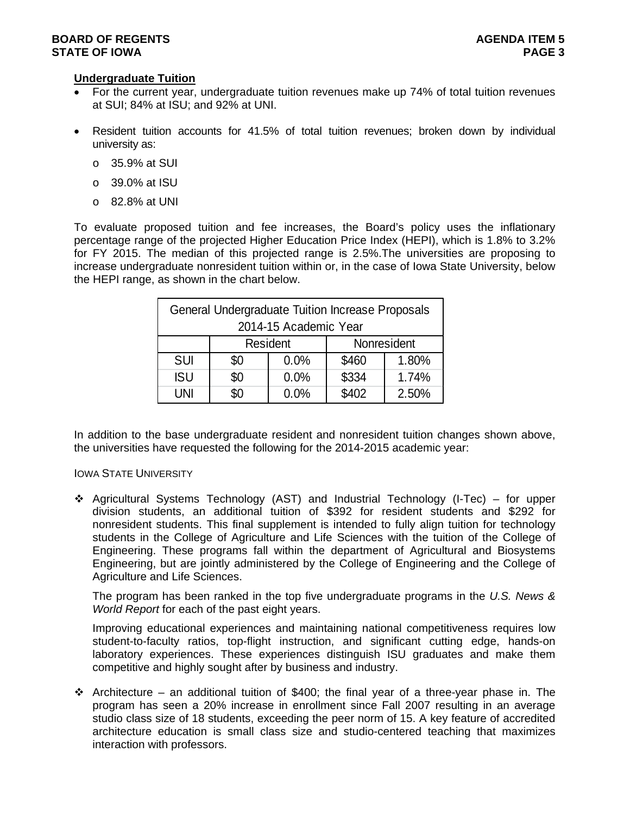# **Undergraduate Tuition**

- For the current year, undergraduate tuition revenues make up 74% of total tuition revenues at SUI; 84% at ISU; and 92% at UNI.
- Resident tuition accounts for 41.5% of total tuition revenues; broken down by individual university as:
	- o 35.9% at SUI
	- o 39.0% at ISU
	- $\circ$  82.8% at UNI

To evaluate proposed tuition and fee increases, the Board's policy uses the inflationary percentage range of the projected Higher Education Price Index (HEPI), which is 1.8% to 3.2% for FY 2015. The median of this projected range is 2.5%.The universities are proposing to increase undergraduate nonresident tuition within or, in the case of Iowa State University, below the HEPI range, as shown in the chart below.

|            | General Undergraduate Tuition Increase Proposals |                       |       |             |
|------------|--------------------------------------------------|-----------------------|-------|-------------|
|            |                                                  | 2014-15 Academic Year |       |             |
|            |                                                  | <b>Resident</b>       |       | Nonresident |
| <b>SUI</b> | \$0                                              | 0.0%                  | \$460 | 1.80%       |
| <b>ISU</b> | \$0                                              | 0.0%                  | \$334 | 1.74%       |
| UNI        | \$0                                              | 0.0%                  | \$402 | 2.50%       |

In addition to the base undergraduate resident and nonresident tuition changes shown above, the universities have requested the following for the 2014-2015 academic year:

#### IOWA STATE UNIVERSITY

 Agricultural Systems Technology (AST) and Industrial Technology (I-Tec) – for upper division students, an additional tuition of \$392 for resident students and \$292 for nonresident students. This final supplement is intended to fully align tuition for technology students in the College of Agriculture and Life Sciences with the tuition of the College of Engineering. These programs fall within the department of Agricultural and Biosystems Engineering, but are jointly administered by the College of Engineering and the College of Agriculture and Life Sciences.

The program has been ranked in the top five undergraduate programs in the *U.S. News & World Report* for each of the past eight years.

Improving educational experiences and maintaining national competitiveness requires low student-to-faculty ratios, top-flight instruction, and significant cutting edge, hands-on laboratory experiences. These experiences distinguish ISU graduates and make them competitive and highly sought after by business and industry.

 $\div$  Architecture – an additional tuition of \$400; the final year of a three-year phase in. The program has seen a 20% increase in enrollment since Fall 2007 resulting in an average studio class size of 18 students, exceeding the peer norm of 15. A key feature of accredited architecture education is small class size and studio-centered teaching that maximizes interaction with professors.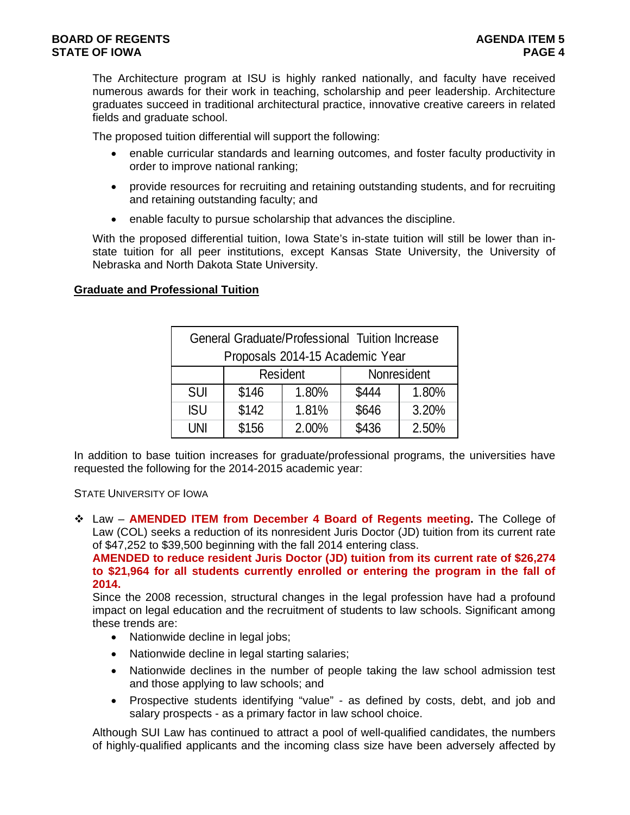The Architecture program at ISU is highly ranked nationally, and faculty have received numerous awards for their work in teaching, scholarship and peer leadership. Architecture graduates succeed in traditional architectural practice, innovative creative careers in related fields and graduate school.

The proposed tuition differential will support the following:

- enable curricular standards and learning outcomes, and foster faculty productivity in order to improve national ranking;
- provide resources for recruiting and retaining outstanding students, and for recruiting and retaining outstanding faculty; and
- enable faculty to pursue scholarship that advances the discipline.

With the proposed differential tuition, Iowa State's in-state tuition will still be lower than instate tuition for all peer institutions, except Kansas State University, the University of Nebraska and North Dakota State University.

# **Graduate and Professional Tuition**

|            | General Graduate/Professional Tuition Increase |                 |       |             |
|------------|------------------------------------------------|-----------------|-------|-------------|
|            | Proposals 2014-15 Academic Year                |                 |       |             |
|            |                                                | <b>Resident</b> |       | Nonresident |
| <b>SUI</b> | \$146                                          | 1.80%           | \$444 | 1.80%       |
| <b>ISU</b> | \$142                                          | 1.81%           | \$646 | 3.20%       |
| <b>UNI</b> | \$156                                          | 2.00%           | \$436 | 2.50%       |

In addition to base tuition increases for graduate/professional programs, the universities have requested the following for the 2014-2015 academic year:

### STATE UNIVERSITY OF IOWA

 Law – **AMENDED ITEM from December 4 Board of Regents meeting.** The College of Law (COL) seeks a reduction of its nonresident Juris Doctor (JD) tuition from its current rate of \$47,252 to \$39,500 beginning with the fall 2014 entering class.

**AMENDED to reduce resident Juris Doctor (JD) tuition from its current rate of \$26,274 to \$21,964 for all students currently enrolled or entering the program in the fall of 2014.** 

Since the 2008 recession, structural changes in the legal profession have had a profound impact on legal education and the recruitment of students to law schools. Significant among these trends are:

- Nationwide decline in legal jobs;
- Nationwide decline in legal starting salaries;
- Nationwide declines in the number of people taking the law school admission test and those applying to law schools; and
- Prospective students identifying "value" as defined by costs, debt, and job and salary prospects - as a primary factor in law school choice.

Although SUI Law has continued to attract a pool of well-qualified candidates, the numbers of highly-qualified applicants and the incoming class size have been adversely affected by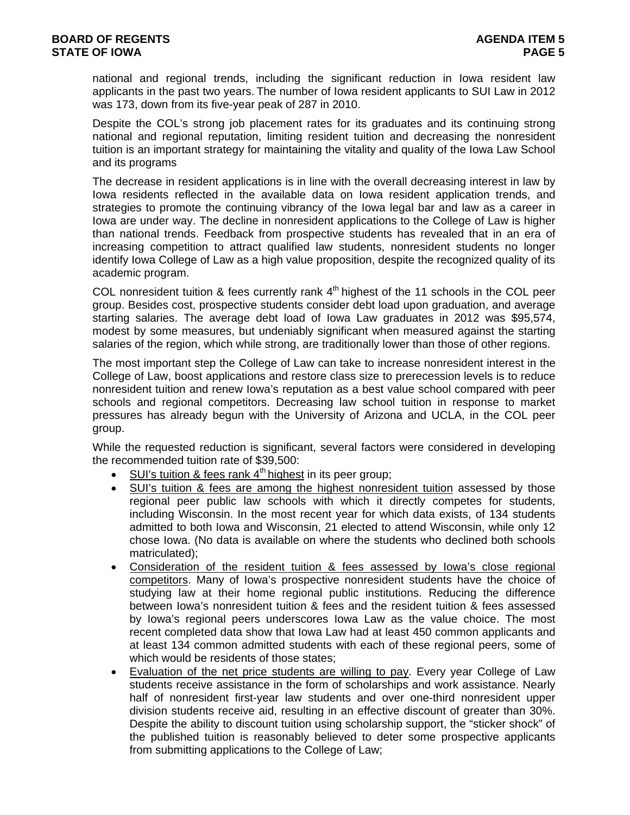national and regional trends, including the significant reduction in Iowa resident law applicants in the past two years. The number of Iowa resident applicants to SUI Law in 2012 was 173, down from its five-year peak of 287 in 2010.

Despite the COL's strong job placement rates for its graduates and its continuing strong national and regional reputation, limiting resident tuition and decreasing the nonresident tuition is an important strategy for maintaining the vitality and quality of the Iowa Law School and its programs

The decrease in resident applications is in line with the overall decreasing interest in law by Iowa residents reflected in the available data on Iowa resident application trends, and strategies to promote the continuing vibrancy of the Iowa legal bar and law as a career in Iowa are under way. The decline in nonresident applications to the College of Law is higher than national trends. Feedback from prospective students has revealed that in an era of increasing competition to attract qualified law students, nonresident students no longer identify Iowa College of Law as a high value proposition, despite the recognized quality of its academic program.

COL nonresident tuition  $\&$  fees currently rank  $4<sup>th</sup>$  highest of the 11 schools in the COL peer group. Besides cost, prospective students consider debt load upon graduation, and average starting salaries. The average debt load of Iowa Law graduates in 2012 was \$95,574, modest by some measures, but undeniably significant when measured against the starting salaries of the region, which while strong, are traditionally lower than those of other regions.

The most important step the College of Law can take to increase nonresident interest in the College of Law, boost applications and restore class size to prerecession levels is to reduce nonresident tuition and renew Iowa's reputation as a best value school compared with peer schools and regional competitors. Decreasing law school tuition in response to market pressures has already begun with the University of Arizona and UCLA, in the COL peer group.

While the requested reduction is significant, several factors were considered in developing the recommended tuition rate of \$39,500:

- $\bullet$  SUI's tuition & fees rank 4<sup>th</sup> highest in its peer group;
- SUI's tuition & fees are among the highest nonresident tuition assessed by those regional peer public law schools with which it directly competes for students, including Wisconsin. In the most recent year for which data exists, of 134 students admitted to both Iowa and Wisconsin, 21 elected to attend Wisconsin, while only 12 chose Iowa. (No data is available on where the students who declined both schools matriculated);
- Consideration of the resident tuition & fees assessed by Iowa's close regional competitors. Many of Iowa's prospective nonresident students have the choice of studying law at their home regional public institutions. Reducing the difference between Iowa's nonresident tuition & fees and the resident tuition & fees assessed by Iowa's regional peers underscores Iowa Law as the value choice. The most recent completed data show that Iowa Law had at least 450 common applicants and at least 134 common admitted students with each of these regional peers, some of which would be residents of those states;
- Evaluation of the net price students are willing to pay. Every year College of Law students receive assistance in the form of scholarships and work assistance. Nearly half of nonresident first-year law students and over one-third nonresident upper division students receive aid, resulting in an effective discount of greater than 30%. Despite the ability to discount tuition using scholarship support, the "sticker shock" of the published tuition is reasonably believed to deter some prospective applicants from submitting applications to the College of Law;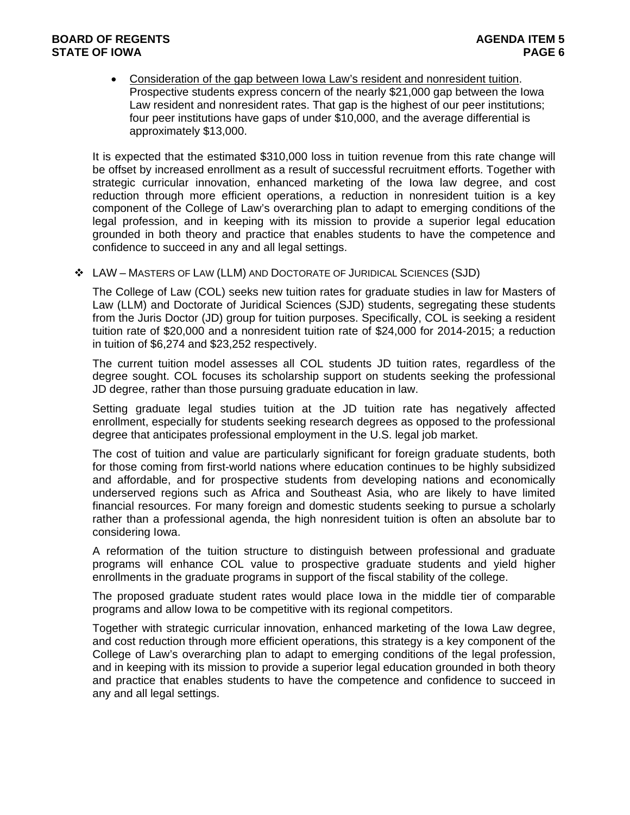# **BOARD OF REGENTS AGENTS** AGENERATION OF REGENTS AGENERATION OF REGENTS AGENERATION OF  $\overline{a}$ **STATE OF IOWA** PAGE 6

 Consideration of the gap between Iowa Law's resident and nonresident tuition. Prospective students express concern of the nearly \$21,000 gap between the Iowa Law resident and nonresident rates. That gap is the highest of our peer institutions; four peer institutions have gaps of under \$10,000, and the average differential is approximately \$13,000.

It is expected that the estimated \$310,000 loss in tuition revenue from this rate change will be offset by increased enrollment as a result of successful recruitment efforts. Together with strategic curricular innovation, enhanced marketing of the Iowa law degree, and cost reduction through more efficient operations, a reduction in nonresident tuition is a key component of the College of Law's overarching plan to adapt to emerging conditions of the legal profession, and in keeping with its mission to provide a superior legal education grounded in both theory and practice that enables students to have the competence and confidence to succeed in any and all legal settings.

LAW – MASTERS OF LAW (LLM) AND DOCTORATE OF JURIDICAL SCIENCES (SJD)

The College of Law (COL) seeks new tuition rates for graduate studies in law for Masters of Law (LLM) and Doctorate of Juridical Sciences (SJD) students, segregating these students from the Juris Doctor (JD) group for tuition purposes. Specifically, COL is seeking a resident tuition rate of \$20,000 and a nonresident tuition rate of \$24,000 for 2014-2015; a reduction in tuition of \$6,274 and \$23,252 respectively.

The current tuition model assesses all COL students JD tuition rates, regardless of the degree sought. COL focuses its scholarship support on students seeking the professional JD degree, rather than those pursuing graduate education in law.

Setting graduate legal studies tuition at the JD tuition rate has negatively affected enrollment, especially for students seeking research degrees as opposed to the professional degree that anticipates professional employment in the U.S. legal job market.

The cost of tuition and value are particularly significant for foreign graduate students, both for those coming from first-world nations where education continues to be highly subsidized and affordable, and for prospective students from developing nations and economically underserved regions such as Africa and Southeast Asia, who are likely to have limited financial resources. For many foreign and domestic students seeking to pursue a scholarly rather than a professional agenda, the high nonresident tuition is often an absolute bar to considering Iowa.

A reformation of the tuition structure to distinguish between professional and graduate programs will enhance COL value to prospective graduate students and yield higher enrollments in the graduate programs in support of the fiscal stability of the college.

The proposed graduate student rates would place Iowa in the middle tier of comparable programs and allow Iowa to be competitive with its regional competitors.

Together with strategic curricular innovation, enhanced marketing of the Iowa Law degree, and cost reduction through more efficient operations, this strategy is a key component of the College of Law's overarching plan to adapt to emerging conditions of the legal profession, and in keeping with its mission to provide a superior legal education grounded in both theory and practice that enables students to have the competence and confidence to succeed in any and all legal settings.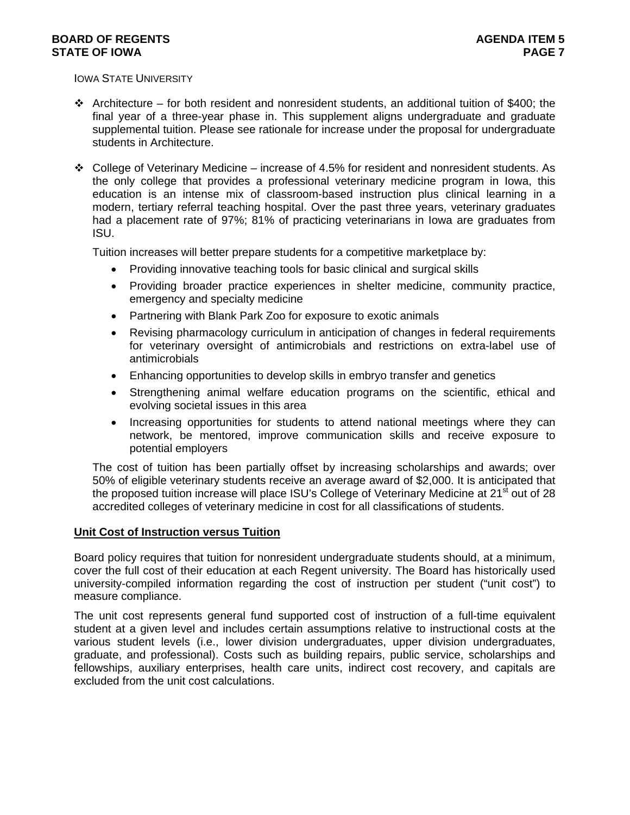IOWA STATE UNIVERSITY

- Architecture for both resident and nonresident students, an additional tuition of \$400; the final year of a three-year phase in. This supplement aligns undergraduate and graduate supplemental tuition. Please see rationale for increase under the proposal for undergraduate students in Architecture.
- College of Veterinary Medicine increase of 4.5% for resident and nonresident students. As the only college that provides a professional veterinary medicine program in Iowa, this education is an intense mix of classroom-based instruction plus clinical learning in a modern, tertiary referral teaching hospital. Over the past three years, veterinary graduates had a placement rate of 97%; 81% of practicing veterinarians in Iowa are graduates from ISU.

Tuition increases will better prepare students for a competitive marketplace by:

- Providing innovative teaching tools for basic clinical and surgical skills
- Providing broader practice experiences in shelter medicine, community practice, emergency and specialty medicine
- Partnering with Blank Park Zoo for exposure to exotic animals
- Revising pharmacology curriculum in anticipation of changes in federal requirements for veterinary oversight of antimicrobials and restrictions on extra-label use of antimicrobials
- Enhancing opportunities to develop skills in embryo transfer and genetics
- Strengthening animal welfare education programs on the scientific, ethical and evolving societal issues in this area
- Increasing opportunities for students to attend national meetings where they can network, be mentored, improve communication skills and receive exposure to potential employers

The cost of tuition has been partially offset by increasing scholarships and awards; over 50% of eligible veterinary students receive an average award of \$2,000. It is anticipated that the proposed tuition increase will place ISU's College of Veterinary Medicine at 21<sup>st</sup> out of 28 accredited colleges of veterinary medicine in cost for all classifications of students.

# **Unit Cost of Instruction versus Tuition**

Board policy requires that tuition for nonresident undergraduate students should, at a minimum, cover the full cost of their education at each Regent university. The Board has historically used university-compiled information regarding the cost of instruction per student ("unit cost") to measure compliance.

The unit cost represents general fund supported cost of instruction of a full-time equivalent student at a given level and includes certain assumptions relative to instructional costs at the various student levels (i.e., lower division undergraduates, upper division undergraduates, graduate, and professional). Costs such as building repairs, public service, scholarships and fellowships, auxiliary enterprises, health care units, indirect cost recovery, and capitals are excluded from the unit cost calculations.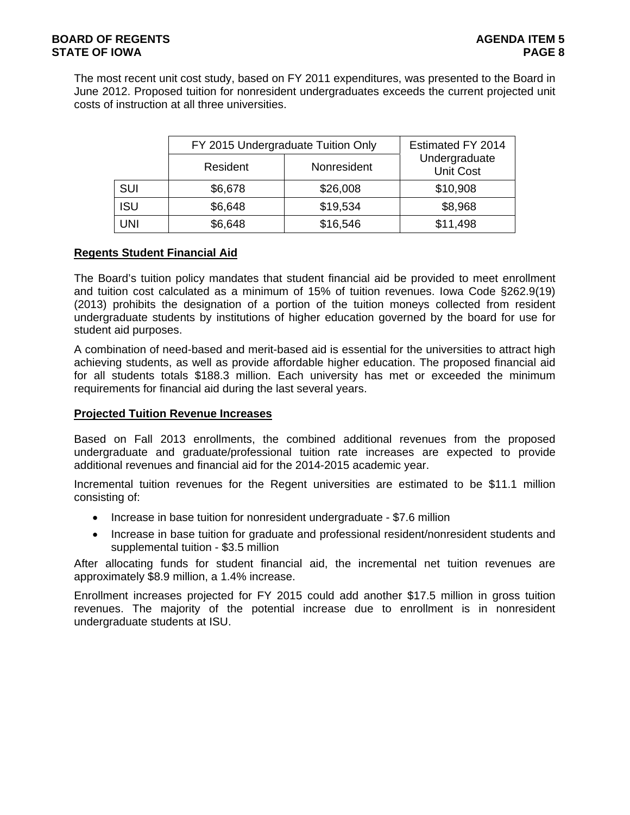The most recent unit cost study, based on FY 2011 expenditures, was presented to the Board in June 2012. Proposed tuition for nonresident undergraduates exceeds the current projected unit costs of instruction at all three universities.

|            | FY 2015 Undergraduate Tuition Only |             | Estimated FY 2014                 |
|------------|------------------------------------|-------------|-----------------------------------|
|            | Resident                           | Nonresident | Undergraduate<br><b>Unit Cost</b> |
| <b>SUI</b> | \$6,678                            | \$26,008    | \$10,908                          |
| <b>ISU</b> | \$6,648                            | \$19,534    | \$8,968                           |
| <b>UNI</b> | \$6,648                            | \$16,546    | \$11,498                          |

# **Regents Student Financial Aid**

The Board's tuition policy mandates that student financial aid be provided to meet enrollment and tuition cost calculated as a minimum of 15% of tuition revenues. Iowa Code §262.9(19) (2013) prohibits the designation of a portion of the tuition moneys collected from resident undergraduate students by institutions of higher education governed by the board for use for student aid purposes.

A combination of need-based and merit-based aid is essential for the universities to attract high achieving students, as well as provide affordable higher education. The proposed financial aid for all students totals \$188.3 million. Each university has met or exceeded the minimum requirements for financial aid during the last several years.

# **Projected Tuition Revenue Increases**

Based on Fall 2013 enrollments, the combined additional revenues from the proposed undergraduate and graduate/professional tuition rate increases are expected to provide additional revenues and financial aid for the 2014-2015 academic year.

Incremental tuition revenues for the Regent universities are estimated to be \$11.1 million consisting of:

- Increase in base tuition for nonresident undergraduate \$7.6 million
- Increase in base tuition for graduate and professional resident/nonresident students and supplemental tuition - \$3.5 million

After allocating funds for student financial aid, the incremental net tuition revenues are approximately \$8.9 million, a 1.4% increase.

Enrollment increases projected for FY 2015 could add another \$17.5 million in gross tuition revenues. The majority of the potential increase due to enrollment is in nonresident undergraduate students at ISU.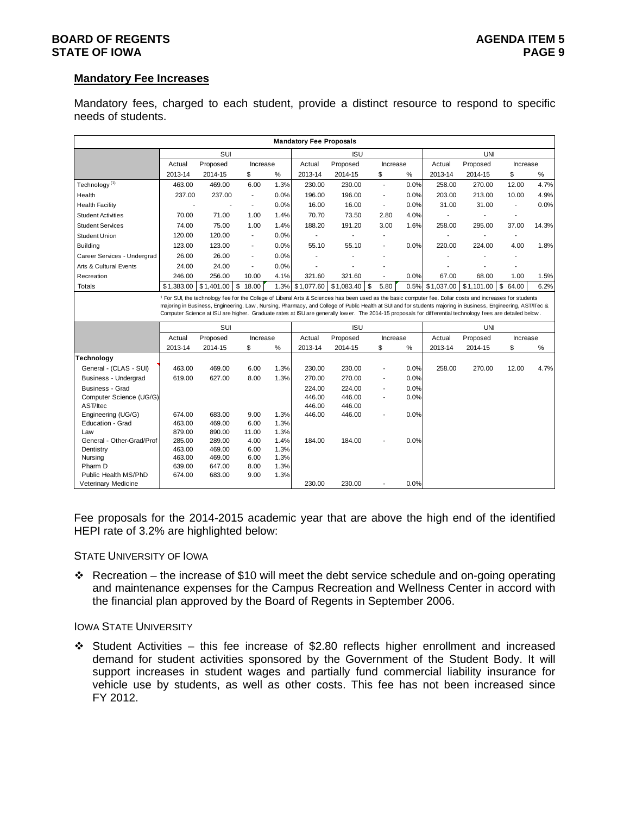# **BOARD OF REGENTS AGENTS** AGENDA ITEM 5 **STATE OF IOWA** PAGE 9

# **Mandatory Fee Increases**

Mandatory fees, charged to each student, provide a distinct resource to respond to specific needs of students.

|                             |                  |                                                                                                                                                                                                                                                                                                                                    |                          |              | <b>Mandatory Fee Proposals</b> |            |                          |      |            |            |                          |       |
|-----------------------------|------------------|------------------------------------------------------------------------------------------------------------------------------------------------------------------------------------------------------------------------------------------------------------------------------------------------------------------------------------|--------------------------|--------------|--------------------------------|------------|--------------------------|------|------------|------------|--------------------------|-------|
|                             |                  | SUI                                                                                                                                                                                                                                                                                                                                |                          |              |                                | <b>ISU</b> |                          |      |            | <b>UNI</b> |                          |       |
|                             | Actual           | Proposed                                                                                                                                                                                                                                                                                                                           | Increase                 |              | Actual                         | Proposed   | Increase                 |      | Actual     | Proposed   | Increase                 |       |
|                             | 2013-14          | 2014-15                                                                                                                                                                                                                                                                                                                            | \$                       | %            | 2013-14                        | 2014-15    | \$                       | $\%$ | 2013-14    | 2014-15    | \$                       | $\%$  |
| Technology <sup>(1)</sup>   | 463.00           | 469.00                                                                                                                                                                                                                                                                                                                             | 6.00                     | 1.3%         | 230.00                         | 230.00     | $\blacksquare$           | 0.0% | 258.00     | 270.00     | 12.00                    | 4.7%  |
| Health                      | 237.00           | 237.00                                                                                                                                                                                                                                                                                                                             | $\blacksquare$           | 0.0%         | 196.00                         | 196.00     | $\overline{\phantom{a}}$ | 0.0% | 203.00     | 213.00     | 10.00                    | 4.9%  |
| <b>Health Facility</b>      |                  |                                                                                                                                                                                                                                                                                                                                    | $\sim$                   | 0.0%         | 16.00                          | 16.00      | $\blacksquare$           | 0.0% | 31.00      | 31.00      | $\overline{\phantom{a}}$ | 0.0%  |
| <b>Student Activities</b>   | 70.00            | 71.00                                                                                                                                                                                                                                                                                                                              | 1.00                     | 1.4%         | 70.70                          | 73.50      | 2.80                     | 4.0% |            |            |                          |       |
| <b>Student Services</b>     | 74.00            | 75.00                                                                                                                                                                                                                                                                                                                              | 1.00                     | 1.4%         | 188.20                         | 191.20     | 3.00                     | 1.6% | 258.00     | 295.00     | 37.00                    | 14.3% |
| <b>Student Union</b>        | 120.00           | 120.00                                                                                                                                                                                                                                                                                                                             | $\overline{\phantom{a}}$ | 0.0%         | $\overline{\phantom{a}}$       |            | $\blacksquare$           |      |            |            |                          |       |
| Building                    | 123.00           | 123.00                                                                                                                                                                                                                                                                                                                             | $\blacksquare$           | 0.0%         | 55.10                          | 55.10      | $\blacksquare$           | 0.0% | 220.00     | 224.00     | 4.00                     | 1.8%  |
| Career Services - Undergrad | 26.00            | 26.00                                                                                                                                                                                                                                                                                                                              | $\blacksquare$           | 0.0%         |                                |            |                          |      |            |            |                          |       |
| Arts & Cultural Events      | 24.00            | 24.00                                                                                                                                                                                                                                                                                                                              | $\overline{\phantom{a}}$ | 0.0%         |                                |            |                          |      |            |            |                          |       |
| Recreation                  | 246.00           | 256.00                                                                                                                                                                                                                                                                                                                             | 10.00                    | 4.1%         | 321.60                         | 321.60     | $\blacksquare$           | 0.0% | 67.00      | 68.00      | 1.00                     | 1.5%  |
| <b>Totals</b>               | \$1,383.00       | \$1,401.00                                                                                                                                                                                                                                                                                                                         | $\sqrt{3}$<br>18.00      | 1.3%         | \$1,077.60                     | \$1,083.40 | 5.80<br>\$               | 0.5% | \$1,037.00 | \$1,101.00 | \$<br>64.00              | 6.2%  |
|                             |                  | majoring in Business, Engineering, Law, Nursing, Pharmacy, and College of Public Health at SUI and for students majoring in Business, Engineering, AST/ITec &<br>Computer Science at ISU are higher. Graduate rates at ISU are generally low er. The 2014-15 proposals for differential technology fees are detailed below.<br>SUI |                          |              |                                | <b>ISU</b> |                          |      |            | UNI        |                          |       |
|                             | Actual           | Proposed                                                                                                                                                                                                                                                                                                                           | Increase                 |              | Actual                         | Proposed   | Increase                 |      | Actual     | Proposed   | Increase                 |       |
|                             | 2013-14          | 2014-15                                                                                                                                                                                                                                                                                                                            | \$                       | %            | 2013-14                        | 2014-15    | \$                       | %    | 2013-14    | 2014-15    | \$                       | %     |
| Technology                  |                  |                                                                                                                                                                                                                                                                                                                                    |                          |              |                                |            |                          |      |            |            |                          |       |
| General - (CLAS - SUI)      | 463.00           | 469.00                                                                                                                                                                                                                                                                                                                             | 6.00                     | 1.3%         | 230.00                         | 230.00     | $\blacksquare$           | 0.0% | 258.00     | 270.00     | 12.00                    | 4.7%  |
| Business - Undergrad        | 619.00           | 627.00                                                                                                                                                                                                                                                                                                                             | 8.00                     | 1.3%         | 270.00                         | 270.00     | $\blacksquare$           | 0.0% |            |            |                          |       |
| Business - Grad             |                  |                                                                                                                                                                                                                                                                                                                                    |                          |              | 224.00                         | 224.00     |                          | 0.0% |            |            |                          |       |
| Computer Science (UG/G)     |                  |                                                                                                                                                                                                                                                                                                                                    |                          |              | 446.00                         | 446.00     | $\blacksquare$           | 0.0% |            |            |                          |       |
| AST/Itec                    |                  |                                                                                                                                                                                                                                                                                                                                    |                          |              | 446.00                         | 446.00     |                          |      |            |            |                          |       |
| Engineering (UG/G)          | 674.00           | 683.00                                                                                                                                                                                                                                                                                                                             | 9.00                     | 1.3%         | 446.00                         | 446.00     | $\blacksquare$           | 0.0% |            |            |                          |       |
| Education - Grad            | 463.00           | 469.00                                                                                                                                                                                                                                                                                                                             | 6.00                     | 1.3%         |                                |            |                          |      |            |            |                          |       |
| Law                         | 879.00           | 890.00                                                                                                                                                                                                                                                                                                                             | 11.00                    | 1.3%         |                                |            |                          |      |            |            |                          |       |
| General - Other-Grad/Prof   | 285.00<br>463.00 | 289.00<br>469.00                                                                                                                                                                                                                                                                                                                   | 4.00<br>6.00             | 1.4%<br>1.3% | 184.00                         | 184.00     |                          | 0.0% |            |            |                          |       |
| Dentistry<br>Nursing        | 463.00           | 469.00                                                                                                                                                                                                                                                                                                                             | 6.00                     | 1.3%         |                                |            |                          |      |            |            |                          |       |
| Pharm D                     | 639.00           | 647.00                                                                                                                                                                                                                                                                                                                             | 8.00                     | 1.3%         |                                |            |                          |      |            |            |                          |       |
| Public Health MS/PhD        | 674.00           | 683.00                                                                                                                                                                                                                                                                                                                             | 9.00                     | 1.3%         |                                |            |                          |      |            |            |                          |       |
| Veterinary Medicine         |                  |                                                                                                                                                                                                                                                                                                                                    |                          |              | 230.00                         | 230.00     |                          | 0.0% |            |            |                          |       |

Fee proposals for the 2014-2015 academic year that are above the high end of the identified HEPI rate of 3.2% are highlighted below:

#### STATE UNIVERSITY OF IOWA

Recreation – the increase of \$10 will meet the debt service schedule and on-going operating and maintenance expenses for the Campus Recreation and Wellness Center in accord with the financial plan approved by the Board of Regents in September 2006.

### IOWA STATE UNIVERSITY

 $\div$  Student Activities – this fee increase of \$2.80 reflects higher enrollment and increased demand for student activities sponsored by the Government of the Student Body. It will support increases in student wages and partially fund commercial liability insurance for vehicle use by students, as well as other costs. This fee has not been increased since FY 2012.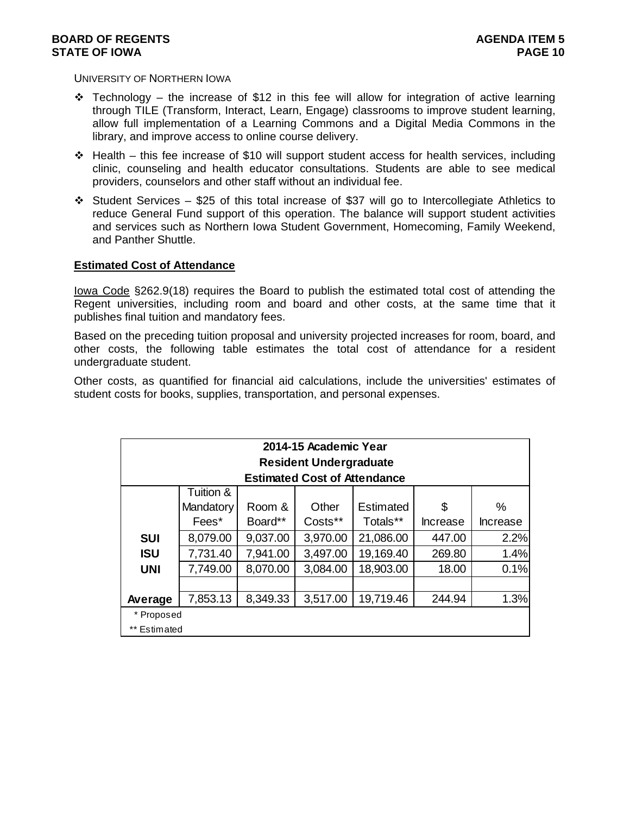UNIVERSITY OF NORTHERN IOWA

- $\div$  Technology the increase of \$12 in this fee will allow for integration of active learning through TILE (Transform, Interact, Learn, Engage) classrooms to improve student learning, allow full implementation of a Learning Commons and a Digital Media Commons in the library, and improve access to online course delivery.
- $\div$  Health this fee increase of \$10 will support student access for health services, including clinic, counseling and health educator consultations. Students are able to see medical providers, counselors and other staff without an individual fee.
- Student Services \$25 of this total increase of \$37 will go to Intercollegiate Athletics to reduce General Fund support of this operation. The balance will support student activities and services such as Northern Iowa Student Government, Homecoming, Family Weekend, and Panther Shuttle.

# **Estimated Cost of Attendance**

Iowa Code §262.9(18) requires the Board to publish the estimated total cost of attending the Regent universities, including room and board and other costs, at the same time that it publishes final tuition and mandatory fees.

Based on the preceding tuition proposal and university projected increases for room, board, and other costs, the following table estimates the total cost of attendance for a resident undergraduate student.

Other costs, as quantified for financial aid calculations, include the universities' estimates of student costs for books, supplies, transportation, and personal expenses.

|              |           |          | 2014-15 Academic Year               |           |                 |          |
|--------------|-----------|----------|-------------------------------------|-----------|-----------------|----------|
|              |           |          | <b>Resident Undergraduate</b>       |           |                 |          |
|              |           |          | <b>Estimated Cost of Attendance</b> |           |                 |          |
|              | Tuition & |          |                                     |           |                 |          |
|              | Mandatory | Room &   | Other                               | Estimated | S               | ℅        |
|              | Fees*     | Board**  | Costs**                             | Totals**  | <b>Increase</b> | Increase |
| <b>SUI</b>   | 8,079.00  | 9,037.00 | 3,970.00                            | 21,086.00 | 447.00          | 2.2%     |
| <b>ISU</b>   | 7,731.40  | 7,941.00 | 3,497.00                            | 19,169.40 | 269.80          | 1.4%     |
| <b>UNI</b>   | 7,749.00  | 8,070.00 | 3,084.00                            | 18,903.00 | 18.00           | 0.1%     |
|              |           |          |                                     |           |                 |          |
| Average      | 7,853.13  | 8,349.33 | 3,517.00                            | 19,719.46 | 244.94          | 1.3%     |
| * Proposed   |           |          |                                     |           |                 |          |
| ** Estimated |           |          |                                     |           |                 |          |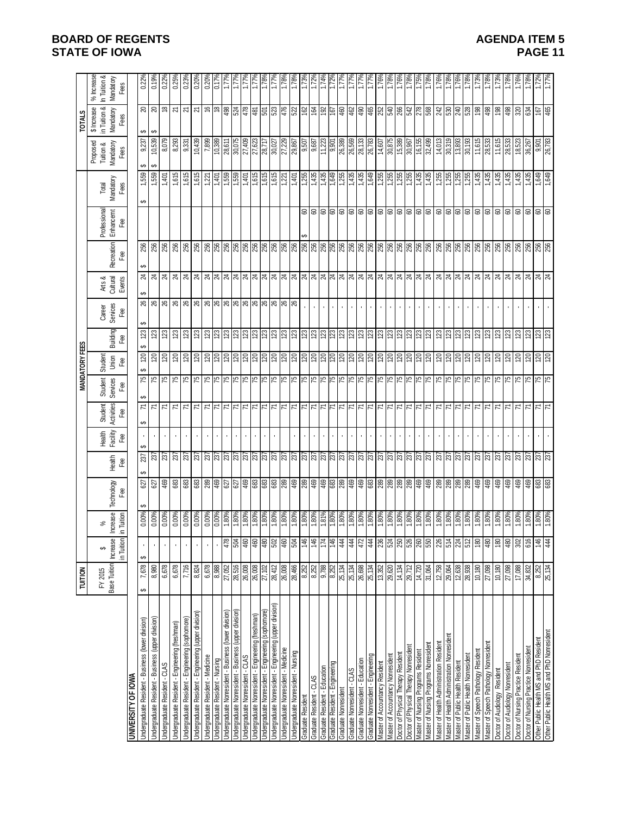# **BOARD OF REGENTS STATE OF IOWA**

| <b>AGENDA ITEM 5</b> |  |
|----------------------|--|
| <b>PAGE 11</b>       |  |

|                                                          | <b>TUITION</b>         |                 |                                                    |                                                                            |                                                                                                                                                                  |                    |                 | <b>MANDATORY FEES</b> |                              |                      |                    |                 |                                                                                                                                                                                                                                 |                           |                                         |                        | <b>TOTALS</b>                 |                       |
|----------------------------------------------------------|------------------------|-----------------|----------------------------------------------------|----------------------------------------------------------------------------|------------------------------------------------------------------------------------------------------------------------------------------------------------------|--------------------|-----------------|-----------------------|------------------------------|----------------------|--------------------|-----------------|---------------------------------------------------------------------------------------------------------------------------------------------------------------------------------------------------------------------------------|---------------------------|-----------------------------------------|------------------------|-------------------------------|-----------------------|
|                                                          |                        |                 |                                                    |                                                                            |                                                                                                                                                                  |                    |                 |                       |                              |                      |                    |                 |                                                                                                                                                                                                                                 |                           |                                         |                        | $$$ Increase                  | <b>Increase</b><br>৯ৎ |
|                                                          | FY 2015                | ↮               | వ్                                                 |                                                                            |                                                                                                                                                                  | Health<br>Facility | <b>Student</b>  | Student<br>Services   | Student                      |                      | Career<br>Services | Arts &          |                                                                                                                                                                                                                                 | Professional<br>Enhancemt | Total                                   | Proposed<br>Tuition &  | in Tuition &                  | In Tuition &          |
|                                                          | Base Tuition           | <b>Increase</b> | Increase                                           | Technology                                                                 | Health                                                                                                                                                           |                    | Activities      |                       | Jnion                        | Building             |                    | Cultural        | <b>Recreation</b>                                                                                                                                                                                                               |                           | Mandatory                               | Mandatory              | Mandatory                     | Mandatory             |
|                                                          |                        | in Tuition      | in Tuition                                         | Fee                                                                        | Fee                                                                                                                                                              | Fee                | Fee             | Fee                   | Fee                          | Fee                  | Fee                | Events          | Fee                                                                                                                                                                                                                             | Fee                       | Fees                                    | Fees                   | Fees                          | Fees                  |
| <b>UNIVERSITY OF IOWA</b>                                |                        |                 |                                                    |                                                                            |                                                                                                                                                                  |                    |                 |                       |                              |                      |                    |                 |                                                                                                                                                                                                                                 |                           |                                         |                        |                               |                       |
| Undergraduate Resident - Business (lower division)       | 7,678<br>မာ            | မာ              | 0.00%                                              | 627<br>↮                                                                   | 237<br>⊷                                                                                                                                                         | ↮<br>ക             | ↮<br>71         | ⊷<br>51               | ↮<br>$\overline{\mathbb{Z}}$ | ↮<br>$\overline{23}$ | ⊷<br>26            | $^{24}$         | ↮                                                                                                                                                                                                                               |                           | 1,559<br>↮                              | 9,237<br>↮             | <u> କ</u><br>↮                | 0.22%                 |
| Indergraduate Resident - Business (upper division)       | 8,980                  |                 | 0.00%                                              | 627                                                                        |                                                                                                                                                                  |                    | 71              | $\frac{5}{10}$        | 120                          | 123                  |                    | $\overline{24}$ | 256                                                                                                                                                                                                                             |                           | 559                                     | 10,539<br>↮            | ↮                             |                       |
| Jndergraduate Resident - CLAS                            | 6,678                  |                 | 0.00%                                              | 469                                                                        | 237                                                                                                                                                              |                    | Σ               |                       | 120                          | 123                  |                    | $^{24}$         | 256                                                                                                                                                                                                                             |                           | 1,401                                   | 8,079                  | ₽                             | 0.229                 |
| Undergraduate Resident - Engineering (freshman)          | 6,678                  |                 | 0.00%                                              |                                                                            |                                                                                                                                                                  |                    | $\overline{r}$  |                       | $\overline{120}$             | 123                  |                    |                 | 256                                                                                                                                                                                                                             |                           | 615                                     | 8,293                  |                               | 0.25%                 |
| Jndergraduate Resident - Engineering (sophomore)         | 7,716                  |                 | 0.00%                                              |                                                                            | 237<br>237                                                                                                                                                       |                    | Σ               |                       | $\overline{20}$              |                      |                    | $\frac{4}{21}$  | 256                                                                                                                                                                                                                             |                           | ,615                                    | 9,331                  | <u>ম ম</u>                    | 0.23%                 |
| Undergraduate Resident - Engineering (upper division)    | 8,824                  |                 | 0.00%                                              | <b>88</b> 88                                                               |                                                                                                                                                                  |                    | $\overline{7}$  |                       | 120                          | $\frac{23}{23}$      |                    | $\overline{24}$ | 256                                                                                                                                                                                                                             |                           | 1,615                                   | 10,439                 | 2                             | 0.20                  |
| Undergraduate Resident - Medicine                        | 6,678                  |                 |                                                    | ္လြန္က ္သြန္က ္လြန္ကြန္ဟြန္ကြန္က ဆူန္ကြန္ကြန္က ဆူန္ကြန္က ဆူန္က ဆူန္က ဆူန္က |                                                                                                                                                                  |                    |                 |                       | ချွံချွံချွံချွံချွံချွ      |                      |                    |                 | န္ကြန္ကြန္႔ေတြ ျပည့္အေနျဖင့္ အျမန္႔ေတြ ျပည္ဆိုင္ရာ ျပည္ဆိုင္ရာ ျပည္သည္ အျမန္ ျပည္သည္ အျမန္ ျပည္သည္ အျမန္ ျပည္သ<br>အျမန္ ျပည္သည္ အျမန္ ျပည္သည္ အျမန္ ျပည္သည္ အျမန္ ျပည္သည္ အျမန္ ျပည္သည္ အျမန္ ျပည္သည္ အျမန္ ျပည္သည္ အျမန္ ျပည္သ |                           |                                         | 7,899                  | ဧ ဧ န္ဗုန္ယူဇ္                | 0.20                  |
| <b>Undergraduate Resident - Nursing</b>                  |                        |                 | 0.00%<br>0.00%<br>1.80% 1.80% 1.80%<br>1.80% 1.80% |                                                                            |                                                                                                                                                                  |                    | 지지지지            |                       |                              |                      |                    |                 |                                                                                                                                                                                                                                 |                           | $\frac{1}{2}$                           | 10,389                 |                               | $0.17$ <sup>9</sup>   |
| Jndergraduate Nonresident - Business (lower division)    | $\frac{8,988}{27,052}$ | 478             |                                                    |                                                                            |                                                                                                                                                                  |                    |                 |                       |                              |                      |                    |                 |                                                                                                                                                                                                                                 |                           |                                         | 28,611                 |                               | ΪŻ                    |
| Jndergraduate Nonresident - Business (upper division)    | 28,516                 | <b>POS</b>      |                                                    |                                                                            |                                                                                                                                                                  |                    |                 |                       |                              |                      |                    |                 |                                                                                                                                                                                                                                 |                           |                                         | 30,075                 |                               | 1.77°                 |
| <b>Jndergraduate Nonresident - CLAS</b>                  | 26,008                 | 460             |                                                    |                                                                            |                                                                                                                                                                  |                    |                 |                       |                              |                      |                    |                 |                                                                                                                                                                                                                                 |                           |                                         | 27,409                 |                               |                       |
| Indergraduate Nonresident - Engineering (freshman)       | 26,008                 | 460             |                                                    |                                                                            |                                                                                                                                                                  |                    | 지지              |                       |                              |                      |                    |                 |                                                                                                                                                                                                                                 |                           |                                         | 27,623                 | 의휘                            |                       |
| Jndergraduate Nonresident - Engineering (sophomore)      | 27,102                 | 480             |                                                    |                                                                            |                                                                                                                                                                  |                    |                 |                       |                              |                      |                    |                 |                                                                                                                                                                                                                                 |                           |                                         | 28,717                 |                               |                       |
| Jndergraduate Nonresident - Engineering (upper division) | 28,412                 | 502             |                                                    |                                                                            |                                                                                                                                                                  |                    | $\overline{7}$  |                       |                              |                      |                    |                 |                                                                                                                                                                                                                                 |                           | 1,615                                   | 30,027                 |                               |                       |
| <b>Jndergraduate Nonresident - Medicine</b>              | 26,008                 | 460             |                                                    |                                                                            |                                                                                                                                                                  |                    |                 |                       |                              |                      |                    |                 |                                                                                                                                                                                                                                 |                           |                                         | 27,229                 |                               | 1.789                 |
| Jndergraduate Nonresident - Nursing                      | 28,466                 | 504             | 1.80%<br>1.80%<br>1.80% 1.80% 1.80%<br>1.80% 1.80% |                                                                            |                                                                                                                                                                  |                    | 지지지             |                       | $ z $ ଞ୍ଜ $ z $ ଞ୍ଜାଞ୍ଜା     |                      |                    |                 |                                                                                                                                                                                                                                 |                           |                                         | $\frac{29,867}{9,507}$ | $ z  \geq  z $ $ z  \geq  z $ |                       |
| Graduate Resident                                        | 8,252                  | 146             |                                                    |                                                                            |                                                                                                                                                                  |                    |                 |                       |                              |                      |                    |                 |                                                                                                                                                                                                                                 |                           |                                         |                        |                               | 1.73°                 |
| Graduate Resident - CLAS                                 | 8,252                  | 146             |                                                    |                                                                            |                                                                                                                                                                  |                    | 71              |                       |                              |                      |                    |                 |                                                                                                                                                                                                                                 |                           |                                         |                        |                               | $1.72$ <sup>0</sup>   |
| Graduate Resident - Education                            | 9,788                  | 174             |                                                    |                                                                            |                                                                                                                                                                  |                    | $\overline{7}$  |                       |                              |                      |                    |                 |                                                                                                                                                                                                                                 |                           |                                         | 11,223                 |                               | 1.749                 |
| Graduate Resident - Engineering                          | 8,252                  | $\frac{46}{5}$  |                                                    |                                                                            |                                                                                                                                                                  |                    | 71              |                       |                              |                      | Ŷ.                 |                 |                                                                                                                                                                                                                                 |                           |                                         | 9,901                  |                               | 1.72                  |
| Graduate Nonresident                                     | 25,134                 | 444             |                                                    |                                                                            |                                                                                                                                                                  |                    | $\overline{7}$  |                       | 120                          |                      |                    |                 |                                                                                                                                                                                                                                 |                           |                                         | 26,389                 | 460                           |                       |
| Graduate Nonresident - CLAS                              | 25,134                 | 444             |                                                    |                                                                            |                                                                                                                                                                  |                    | $\overline{7}$  |                       | 120                          |                      |                    |                 |                                                                                                                                                                                                                                 |                           |                                         | 26,569                 | 462                           |                       |
| Graduate Nonresident - Education                         | 26,698                 | 472             | 1.80%<br>1.80%                                     |                                                                            |                                                                                                                                                                  |                    | 71              |                       | <u>§1</u>                    |                      |                    |                 |                                                                                                                                                                                                                                 |                           |                                         | 28,133                 | 8                             |                       |
| Sraduate Nonresident - Engineering                       | 25,134                 | 444             |                                                    |                                                                            |                                                                                                                                                                  |                    | $\overline{7}$  |                       | $\overline{20}$              |                      |                    |                 |                                                                                                                                                                                                                                 |                           |                                         | 26,783                 | 465                           |                       |
| Master of Accountancy Resident                           | 13,352                 | 236             | $\frac{180%}{1.80%}$                               |                                                                            | ន្ត្រី ន្ត្រី ន្ត្រី ន្ត្រី ន្ត្រី ន្ត្រី ន្ត្រី ន្ត្រី ន្ត្រី ន្ត្រី ន្ត្រី ន្ត្រី ន្ត្រី ន្ត្រី ន្ត្រី ន្ត្រី ន្ត្រី ន្ត្រី ន្ត្រី ន្ត្រី ន្ត្រី ន្ត្រី ន្ត្រី |                    | 71              |                       | 888                          |                      |                    |                 |                                                                                                                                                                                                                                 | 888888888888888888888     | $\frac{1,255}{1,255}$                   | 14,607                 | 8882                          | 1.76                  |
| Master of Accountancy Nonresident                        | 29,620                 | 524             |                                                    |                                                                            |                                                                                                                                                                  |                    | $\overline{7}$  |                       |                              |                      | ×.                 |                 |                                                                                                                                                                                                                                 |                           |                                         | 30,875                 |                               |                       |
| Ooctor of Physical Therapy Resident                      | 14,134                 | 250             |                                                    |                                                                            |                                                                                                                                                                  |                    | $\overline{z}$  |                       |                              |                      |                    |                 |                                                                                                                                                                                                                                 |                           |                                         | 15,389                 |                               |                       |
| Doctor of Physical Therapy Nonresiden                    | 29,712                 | 526             |                                                    |                                                                            |                                                                                                                                                                  |                    | $\overline{z}$  |                       | 0Z)                          |                      |                    |                 |                                                                                                                                                                                                                                 |                           |                                         | 296'08                 |                               |                       |
| Master of Nursing Programs Resident                      | 14,720                 | 260             | 1.80%                                              |                                                                            |                                                                                                                                                                  |                    | $7\overline{7}$ |                       | $\frac{120}{2}$              |                      | $\blacksquare$     |                 |                                                                                                                                                                                                                                 |                           | $1,435$<br>1,435                        | 16,155                 | 278                           | $1.75^{\circ}$        |
| Master of Nursing Programs Nonresident                   | 31,064                 | 550             | 1.80%                                              |                                                                            |                                                                                                                                                                  |                    |                 |                       | 120                          |                      |                    |                 |                                                                                                                                                                                                                                 |                           |                                         | 32,499                 |                               | 1.78                  |
| Master of Health Administration Resident                 | 12,758                 | 226             | 1.80%                                              | $\frac{1}{28}$ $\frac{1}{28}$ $\frac{1}{28}$                               | $\frac{25}{25}$                                                                                                                                                  |                    | $\overline{7}$  |                       | 120                          | <u>ននន្ត្រី ន</u>    |                    |                 |                                                                                                                                                                                                                                 |                           | $\frac{1,255}{1,255}$<br>1,255<br>1,255 | 14,013                 | 242                           | 1.76%                 |
| Master of Health Administration Nonresident              | 29,064                 | 514             | 1.80%                                              |                                                                            |                                                                                                                                                                  |                    | $\overline{z}$  |                       | $\frac{8}{2}$                |                      |                    |                 |                                                                                                                                                                                                                                 |                           |                                         | 30,319                 |                               |                       |
| <b><i>Master of Public Health Resident</i></b>           | 12,638                 | 224             | 1.80%<br>1.80%                                     |                                                                            |                                                                                                                                                                  |                    | $\frac{1}{7}$   |                       |                              |                      | ٠                  |                 |                                                                                                                                                                                                                                 |                           |                                         | 13,893                 | $\frac{8}{240}$               |                       |
| Waster of Public Health Nonresident                      | 28,938                 | 512             |                                                    |                                                                            |                                                                                                                                                                  |                    |                 |                       | 0Z)                          |                      |                    |                 |                                                                                                                                                                                                                                 |                           |                                         | 30,193                 | 528                           |                       |
| Master of Speech Pathology Residen                       | 10,180                 | 180             | 1.80%                                              | 469                                                                        |                                                                                                                                                                  |                    | $\overline{7}$  |                       | 0Z1                          | 123                  |                    |                 |                                                                                                                                                                                                                                 |                           | 1,435                                   | 11,615                 | 198                           | 1.73                  |
| Master of Speech Pathology Nonresident                   | 27,098                 | 480             |                                                    |                                                                            |                                                                                                                                                                  |                    | $\frac{1}{7}$   |                       |                              |                      |                    |                 |                                                                                                                                                                                                                                 |                           |                                         | 28,533                 |                               | 1.78                  |
| Doctor of Audiology Resident                             | 10,180                 | $\frac{80}{2}$  |                                                    | $\frac{1}{6}$                                                              | $\frac{5}{25}$ $\frac{5}{25}$ $\frac{5}{25}$                                                                                                                     |                    |                 |                       | <u>ସ୍ଥାସ୍ଥାସ</u>             | ឌ្រ ន ន ន            |                    |                 |                                                                                                                                                                                                                                 |                           | 1,435                                   | 11,615                 | $\frac{498}{198}$             | 1.73                  |
| Doctor of Audiology Nonresident                          | 27,098                 | 480             |                                                    |                                                                            |                                                                                                                                                                  |                    | $\overline{7}$  |                       |                              |                      |                    |                 |                                                                                                                                                                                                                                 |                           | $1,435$<br>$1,435$                      |                        | <b>\$8</b><br>320             | 1.78                  |
| Doctor of Nursing Practice Resident                      | 17,088                 | 302             | $\frac{180%}{1.80%}$                               |                                                                            |                                                                                                                                                                  |                    | $\overline{7}$  |                       |                              |                      |                    |                 |                                                                                                                                                                                                                                 |                           |                                         | 28,533<br>18,523       |                               | 1.76%                 |
| Doctor of Nursing Practice Nonresident                   | 34,832                 | 616             | 1.80%<br>1.80%                                     | 69                                                                         | $\frac{237}{237}$                                                                                                                                                |                    | 7               |                       | $\overline{\mathbb{Z}}$      | $\frac{23}{2}$       |                    |                 | $\frac{8}{8}$                                                                                                                                                                                                                   |                           | 1,435                                   | 36,267                 | 634                           | 1.78%                 |
| Other Public Health MS and PhD Resident                  | 8,252                  | 146             |                                                    | ඝ                                                                          |                                                                                                                                                                  |                    | $\frac{1}{2}$   |                       | প্ৰ                          |                      |                    |                 |                                                                                                                                                                                                                                 | 8888888                   | 679'L                                   | 9,901                  | 167                           | $1.72$ <sup>9</sup>   |
| Other Public Health MS and PhD Nonresident               | 25,134                 | 444             | 1.80%                                              | 683                                                                        | 237                                                                                                                                                              |                    |                 |                       | 0Z)                          | 123                  |                    |                 | 256                                                                                                                                                                                                                             |                           | 679'                                    | 26,783                 | 465                           |                       |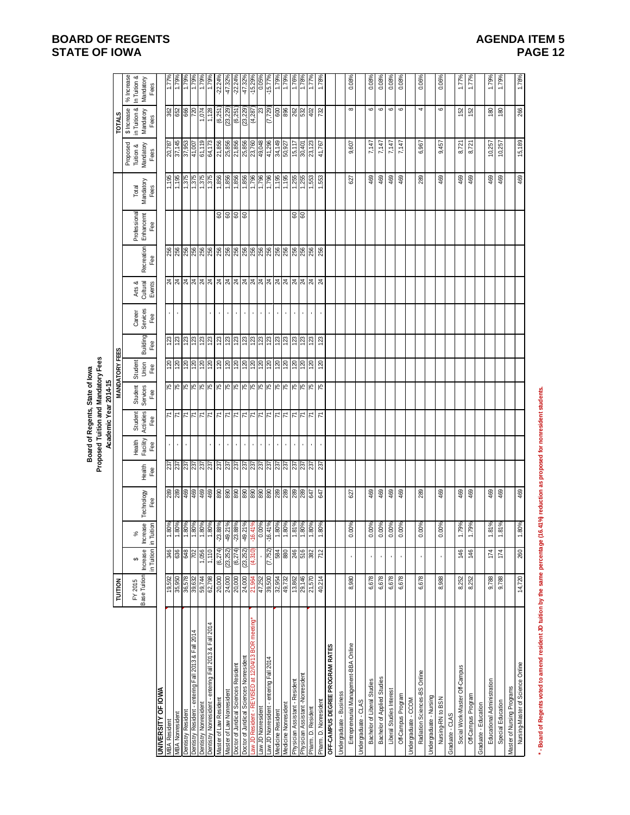# **BOARD OF REGENTS STATE OF IOWA**

| <b>AGENDA ITEM 5</b> |  |
|----------------------|--|
| <b>PAGE 12</b>       |  |

| 1.79%<br>1.79%<br>% Increase<br>1.77%<br>1.79%<br>%6/:1<br>$-22.24%$<br>$-22.24%$<br>$-47.32\%$<br>-15.29%<br>-15.77%<br>1.79%<br>1.79%<br>0.08%<br>1.76%<br>In Tuition &<br>1.78%<br>Mandatory<br>Fees<br>$\mathbf \omega$<br>$\circ$<br>\$ Increase<br>in Tuition &<br>(6, 251)<br>(6, 251)<br>$(23, 229)$<br>$(4, 287)$<br>$\frac{23}{(7,729)}$<br>$\infty$<br>$\, \circ \,$<br>$\mathbf \circ$<br>4<br>ន្ត្រីន្ត្រីន្ត្រី<br>(23, 229)<br>88877<br>6<br>266<br>1,074<br>152<br>$\frac{80}{2}$<br>$\frac{80}{2}$<br>Mandatory<br>Fees<br>1,128<br>152<br><b>TOTALS</b><br>61,119<br>15,189<br>20,787<br>37,145<br>37,953<br>41,007<br>21,856<br>21,856<br>25,856<br>23,760<br>49,048<br>34, 149<br>50, 927<br>7,147<br>64,173<br>25,856<br>607<br>7,147<br>7,147<br>7,147<br>967<br>9,457<br>$\frac{10,257}{10,257}$<br>15, 117<br>23,123<br>41,767<br>8,721<br>30,401<br>8,721<br>Proposed<br>Tuition &<br>Mandatory<br>$\mathbf{c}$<br>Fees<br>တ<br>1,856<br>1,856<br>$\frac{4,195}{1,195}$<br>$\frac{1,375}{1,375}$<br>975<br>1,375<br>1,856<br>469<br>289<br>469<br>469<br>469<br>469<br>469<br>469<br>469<br>469<br>469<br><b>GSZ'L</b><br>1,255<br>1,553<br>1,553<br>627<br>Mandatory<br>Total<br>Fees<br>Professional<br>Enhancemt<br>8888<br>88<br>Fee<br>Recreation<br>Fee<br> ສ ສ ສ ສ ສ ສ ສ ສ ສ ສ ສ ສ ສ ສ ສ ສ ສ <br>Arts &<br>Cultural<br>Events<br>Career<br>Services<br>$\bar{1}$<br>$\bar{1}$<br>$\bar{\phantom{a}}$<br>k.<br>$\mathbf{r}$<br>$\epsilon$<br>Fee<br>Building<br>Fee<br><u>ន</u> ន ន<br> အ  ဆ  ဆ  ဆ  ဆ  ဆ  ဆ  ဆ<br>$\frac{38}{22}$<br>123<br>123<br><b>MANDATORY FEES</b><br>Student<br>120<br>Union<br>Fee<br>Student<br>Services<br>Fee<br>Student<br>Activities<br>$\frac{1}{4}$<br>$\frac{1}{4}$<br>지지지지지지지지지지지지지<br>スス<br>Fee<br>Health<br>Facility<br>Fee<br>$\bar{\phantom{a}}$<br>$\mathbf{r}$<br>$\epsilon$<br>$\cdot$<br>$\blacksquare$<br>$\bullet$<br>$\blacksquare$<br>¥,<br>$\epsilon$<br>$\mathbf{r}$<br>$\blacksquare$<br>$\blacksquare$<br><u>ន្ត្រី ន្ត្រី ន្ត្រី ន្ត្រី ន្ត្រី ន្ត្រី ន្ត្រី ន្ត្រី ន្ត្រី ន្ត្រី ន្ត្រី ន្ត្រី ន្ត្រី ន្ត្រី ន្ត្រី ន្ត្</u><br>Health<br>Fee<br>469<br>469<br>469<br>469<br>289<br>469<br>469<br>469<br>469<br>469<br>627<br>Technology<br>Fee<br>Increase<br>$\begin{array}{ c c c c c }\hline \text{180\%} & \text{180\%} \\ \hline \text{180\%} & \text{180\%} \\ \text{180\%} & \text{180\%} \\ \hline \text{180\%} & \text{180\%} \\ \hline \end{array}$<br>9.21%<br>3.88%<br>-49.21%<br>-16.41%<br>$\begin{array}{c c}\n\hline\n0.00\% \\ \hline\n0.41\% \\ \hline\n1.80\% \\ \hline\n1.80\% \\ \hline\n\end{array}$<br>0.00%<br>0.00%<br>81%<br>.80%<br>.81%<br>$.80\%$ .<br>$00\%$<br>0.00%<br>$00\%$<br>0.00%<br>0.00%<br>.79%<br>.79%<br>.81%<br>$%008$ .<br>వ్<br>Ņ<br>₹<br>Ņ<br>7<br>in Tuition<br>(6, 274)<br>Increase<br>(6, 274)<br>(23, 252)<br>(23, 252)<br>(4,310)<br>$ \frac{2}{3} $ $ \frac{2}{3} $ $ \frac{2}{3} $<br>(7, 752)<br><b>584</b><br>880<br>246<br>712<br>146<br>260<br>1,056<br>$\frac{1}{2}$<br>516<br>146<br>174<br>174<br>382<br>$\Theta$<br>FY 2015<br>Base Tuition<br>6,678<br>19,592<br>35,950<br>36,578<br>59,744<br>24,000<br>20,000<br>24,000<br>39,500<br>32,954<br>29,146<br>40,214<br>8,980<br>6,678<br>6,678<br>6,678<br>6,678<br>8,988<br>8,252<br>9,788<br>14,720<br>39,632<br>62,798<br>20,000<br>49,732<br>13,862<br>8,252<br>9,788<br>47,252<br>21,570<br>21,964<br>TUITION<br>aw JD Resident - REVISED at 12/04/13 BOR meeting*<br>Dentistry Nonresident - entering Fall 2013 & Fall 2014<br>Dentistry Resident - entering Fall 2013 & Fall 2014<br>Entrepreneurial Management-BBA Online<br>OFF-CAMPUS DEGREE PROGRAM RATES<br>Doctor of Juridical Sciences Nonresident<br>aw JD Nonresident - entering Fall 2014<br>Doctor of Juridical Sciences Resident<br>Nursing-Master of Science Online<br>Social Work-Master Off-Campus<br>Radiation Sciences-BS Online<br>Physician Assistant -Nonresiden<br>Bachelor of Applied Studies<br>Bachelor of Liberal Studies<br>Educational Administration<br>Physician Assistant - Resident<br>Master of Nursing Programs<br><b>UNIVERSITY OF IOWA</b><br>Master of Law Nonresident<br>Liberal Studies Interes<br>Jndergraduate - Business<br>Off-Campus Program<br>Off-Campus Program<br>Undergraduate - Nursing<br>Nursing-RN to BSN<br>Master of Law Resident<br>Undergraduate - CCOM<br>Pham. D. Nonresident<br>Jndergraduate - CLAS<br>Special Education<br>Dentistry Nonresident<br>Medicine Nonresident<br>Graduate - Education<br>aw JD Nonresident<br>Pham. D. Resident<br>Dentistry Resident<br>Medicine Resident<br><b>MBA Nonresident</b><br>Graduate - CLAS<br><b>VIBA Resident</b> |                                                                                                                                       |  |  |  | Proposed Tuition and Mandatory Fees<br>Board of Regents, State of lowa<br>Academic Year 2014-15 |  |  |  |  |            |
|-------------------------------------------------------------------------------------------------------------------------------------------------------------------------------------------------------------------------------------------------------------------------------------------------------------------------------------------------------------------------------------------------------------------------------------------------------------------------------------------------------------------------------------------------------------------------------------------------------------------------------------------------------------------------------------------------------------------------------------------------------------------------------------------------------------------------------------------------------------------------------------------------------------------------------------------------------------------------------------------------------------------------------------------------------------------------------------------------------------------------------------------------------------------------------------------------------------------------------------------------------------------------------------------------------------------------------------------------------------------------------------------------------------------------------------------------------------------------------------------------------------------------------------------------------------------------------------------------------------------------------------------------------------------------------------------------------------------------------------------------------------------------------------------------------------------------------------------------------------------------------------------------------------------------------------------------------------------------------------------------------------------------------------------------------------------------------------------------------------------------------------------------------------------------------------------------------------------------------------------------------------------------------------------------------------------------------------------------------------------------------------------------------------------------------------------------------------------------------------------------------------------------------------------------------------------------------------------------------------------------------------------------------------------------------------------------------------------------------------------------------------------------------------------------------------------------------------------------------------------------------------------------------------------------------------------------------------------------------------------------------------------------------------------------------------------------------------------------------------------------------------------------------------------------------------------------------------------------------------------------------------------------------------------------------------------------------------------------------------------------------------------------------------------------------------------------------------------------------------------------------------------------------------------------------------------------------------------------------------------------------------------------------------------------------------------------------------------------------------------------------------------------------------------------------------------------------------------------------------------------------------------------------------------------------------------------------------------------------------------------------------------------------------------------------------------------------------------------------------------------------------------------------------------------------------------------------------------------------------------------------------------------------------------------------------------------------------------------------------------------------------------------------------------------------------------------------------------------------------------------------------------------------------------------------------------------------------------------------------------------------------------------------------------------------|---------------------------------------------------------------------------------------------------------------------------------------|--|--|--|-------------------------------------------------------------------------------------------------|--|--|--|--|------------|
|                                                                                                                                                                                                                                                                                                                                                                                                                                                                                                                                                                                                                                                                                                                                                                                                                                                                                                                                                                                                                                                                                                                                                                                                                                                                                                                                                                                                                                                                                                                                                                                                                                                                                                                                                                                                                                                                                                                                                                                                                                                                                                                                                                                                                                                                                                                                                                                                                                                                                                                                                                                                                                                                                                                                                                                                                                                                                                                                                                                                                                                                                                                                                                                                                                                                                                                                                                                                                                                                                                                                                                                                                                                                                                                                                                                                                                                                                                                                                                                                                                                                                                                                                                                                                                                                                                                                                                                                                                                                                                                                                                                                                                                                               |                                                                                                                                       |  |  |  |                                                                                                 |  |  |  |  |            |
|                                                                                                                                                                                                                                                                                                                                                                                                                                                                                                                                                                                                                                                                                                                                                                                                                                                                                                                                                                                                                                                                                                                                                                                                                                                                                                                                                                                                                                                                                                                                                                                                                                                                                                                                                                                                                                                                                                                                                                                                                                                                                                                                                                                                                                                                                                                                                                                                                                                                                                                                                                                                                                                                                                                                                                                                                                                                                                                                                                                                                                                                                                                                                                                                                                                                                                                                                                                                                                                                                                                                                                                                                                                                                                                                                                                                                                                                                                                                                                                                                                                                                                                                                                                                                                                                                                                                                                                                                                                                                                                                                                                                                                                                               |                                                                                                                                       |  |  |  |                                                                                                 |  |  |  |  |            |
|                                                                                                                                                                                                                                                                                                                                                                                                                                                                                                                                                                                                                                                                                                                                                                                                                                                                                                                                                                                                                                                                                                                                                                                                                                                                                                                                                                                                                                                                                                                                                                                                                                                                                                                                                                                                                                                                                                                                                                                                                                                                                                                                                                                                                                                                                                                                                                                                                                                                                                                                                                                                                                                                                                                                                                                                                                                                                                                                                                                                                                                                                                                                                                                                                                                                                                                                                                                                                                                                                                                                                                                                                                                                                                                                                                                                                                                                                                                                                                                                                                                                                                                                                                                                                                                                                                                                                                                                                                                                                                                                                                                                                                                                               |                                                                                                                                       |  |  |  |                                                                                                 |  |  |  |  |            |
|                                                                                                                                                                                                                                                                                                                                                                                                                                                                                                                                                                                                                                                                                                                                                                                                                                                                                                                                                                                                                                                                                                                                                                                                                                                                                                                                                                                                                                                                                                                                                                                                                                                                                                                                                                                                                                                                                                                                                                                                                                                                                                                                                                                                                                                                                                                                                                                                                                                                                                                                                                                                                                                                                                                                                                                                                                                                                                                                                                                                                                                                                                                                                                                                                                                                                                                                                                                                                                                                                                                                                                                                                                                                                                                                                                                                                                                                                                                                                                                                                                                                                                                                                                                                                                                                                                                                                                                                                                                                                                                                                                                                                                                                               |                                                                                                                                       |  |  |  |                                                                                                 |  |  |  |  |            |
|                                                                                                                                                                                                                                                                                                                                                                                                                                                                                                                                                                                                                                                                                                                                                                                                                                                                                                                                                                                                                                                                                                                                                                                                                                                                                                                                                                                                                                                                                                                                                                                                                                                                                                                                                                                                                                                                                                                                                                                                                                                                                                                                                                                                                                                                                                                                                                                                                                                                                                                                                                                                                                                                                                                                                                                                                                                                                                                                                                                                                                                                                                                                                                                                                                                                                                                                                                                                                                                                                                                                                                                                                                                                                                                                                                                                                                                                                                                                                                                                                                                                                                                                                                                                                                                                                                                                                                                                                                                                                                                                                                                                                                                                               |                                                                                                                                       |  |  |  |                                                                                                 |  |  |  |  |            |
|                                                                                                                                                                                                                                                                                                                                                                                                                                                                                                                                                                                                                                                                                                                                                                                                                                                                                                                                                                                                                                                                                                                                                                                                                                                                                                                                                                                                                                                                                                                                                                                                                                                                                                                                                                                                                                                                                                                                                                                                                                                                                                                                                                                                                                                                                                                                                                                                                                                                                                                                                                                                                                                                                                                                                                                                                                                                                                                                                                                                                                                                                                                                                                                                                                                                                                                                                                                                                                                                                                                                                                                                                                                                                                                                                                                                                                                                                                                                                                                                                                                                                                                                                                                                                                                                                                                                                                                                                                                                                                                                                                                                                                                                               |                                                                                                                                       |  |  |  |                                                                                                 |  |  |  |  |            |
|                                                                                                                                                                                                                                                                                                                                                                                                                                                                                                                                                                                                                                                                                                                                                                                                                                                                                                                                                                                                                                                                                                                                                                                                                                                                                                                                                                                                                                                                                                                                                                                                                                                                                                                                                                                                                                                                                                                                                                                                                                                                                                                                                                                                                                                                                                                                                                                                                                                                                                                                                                                                                                                                                                                                                                                                                                                                                                                                                                                                                                                                                                                                                                                                                                                                                                                                                                                                                                                                                                                                                                                                                                                                                                                                                                                                                                                                                                                                                                                                                                                                                                                                                                                                                                                                                                                                                                                                                                                                                                                                                                                                                                                                               |                                                                                                                                       |  |  |  |                                                                                                 |  |  |  |  |            |
|                                                                                                                                                                                                                                                                                                                                                                                                                                                                                                                                                                                                                                                                                                                                                                                                                                                                                                                                                                                                                                                                                                                                                                                                                                                                                                                                                                                                                                                                                                                                                                                                                                                                                                                                                                                                                                                                                                                                                                                                                                                                                                                                                                                                                                                                                                                                                                                                                                                                                                                                                                                                                                                                                                                                                                                                                                                                                                                                                                                                                                                                                                                                                                                                                                                                                                                                                                                                                                                                                                                                                                                                                                                                                                                                                                                                                                                                                                                                                                                                                                                                                                                                                                                                                                                                                                                                                                                                                                                                                                                                                                                                                                                                               |                                                                                                                                       |  |  |  |                                                                                                 |  |  |  |  |            |
|                                                                                                                                                                                                                                                                                                                                                                                                                                                                                                                                                                                                                                                                                                                                                                                                                                                                                                                                                                                                                                                                                                                                                                                                                                                                                                                                                                                                                                                                                                                                                                                                                                                                                                                                                                                                                                                                                                                                                                                                                                                                                                                                                                                                                                                                                                                                                                                                                                                                                                                                                                                                                                                                                                                                                                                                                                                                                                                                                                                                                                                                                                                                                                                                                                                                                                                                                                                                                                                                                                                                                                                                                                                                                                                                                                                                                                                                                                                                                                                                                                                                                                                                                                                                                                                                                                                                                                                                                                                                                                                                                                                                                                                                               |                                                                                                                                       |  |  |  |                                                                                                 |  |  |  |  | 1.79%      |
|                                                                                                                                                                                                                                                                                                                                                                                                                                                                                                                                                                                                                                                                                                                                                                                                                                                                                                                                                                                                                                                                                                                                                                                                                                                                                                                                                                                                                                                                                                                                                                                                                                                                                                                                                                                                                                                                                                                                                                                                                                                                                                                                                                                                                                                                                                                                                                                                                                                                                                                                                                                                                                                                                                                                                                                                                                                                                                                                                                                                                                                                                                                                                                                                                                                                                                                                                                                                                                                                                                                                                                                                                                                                                                                                                                                                                                                                                                                                                                                                                                                                                                                                                                                                                                                                                                                                                                                                                                                                                                                                                                                                                                                                               |                                                                                                                                       |  |  |  |                                                                                                 |  |  |  |  |            |
|                                                                                                                                                                                                                                                                                                                                                                                                                                                                                                                                                                                                                                                                                                                                                                                                                                                                                                                                                                                                                                                                                                                                                                                                                                                                                                                                                                                                                                                                                                                                                                                                                                                                                                                                                                                                                                                                                                                                                                                                                                                                                                                                                                                                                                                                                                                                                                                                                                                                                                                                                                                                                                                                                                                                                                                                                                                                                                                                                                                                                                                                                                                                                                                                                                                                                                                                                                                                                                                                                                                                                                                                                                                                                                                                                                                                                                                                                                                                                                                                                                                                                                                                                                                                                                                                                                                                                                                                                                                                                                                                                                                                                                                                               |                                                                                                                                       |  |  |  |                                                                                                 |  |  |  |  | $-47.32\%$ |
|                                                                                                                                                                                                                                                                                                                                                                                                                                                                                                                                                                                                                                                                                                                                                                                                                                                                                                                                                                                                                                                                                                                                                                                                                                                                                                                                                                                                                                                                                                                                                                                                                                                                                                                                                                                                                                                                                                                                                                                                                                                                                                                                                                                                                                                                                                                                                                                                                                                                                                                                                                                                                                                                                                                                                                                                                                                                                                                                                                                                                                                                                                                                                                                                                                                                                                                                                                                                                                                                                                                                                                                                                                                                                                                                                                                                                                                                                                                                                                                                                                                                                                                                                                                                                                                                                                                                                                                                                                                                                                                                                                                                                                                                               |                                                                                                                                       |  |  |  |                                                                                                 |  |  |  |  |            |
|                                                                                                                                                                                                                                                                                                                                                                                                                                                                                                                                                                                                                                                                                                                                                                                                                                                                                                                                                                                                                                                                                                                                                                                                                                                                                                                                                                                                                                                                                                                                                                                                                                                                                                                                                                                                                                                                                                                                                                                                                                                                                                                                                                                                                                                                                                                                                                                                                                                                                                                                                                                                                                                                                                                                                                                                                                                                                                                                                                                                                                                                                                                                                                                                                                                                                                                                                                                                                                                                                                                                                                                                                                                                                                                                                                                                                                                                                                                                                                                                                                                                                                                                                                                                                                                                                                                                                                                                                                                                                                                                                                                                                                                                               |                                                                                                                                       |  |  |  |                                                                                                 |  |  |  |  |            |
|                                                                                                                                                                                                                                                                                                                                                                                                                                                                                                                                                                                                                                                                                                                                                                                                                                                                                                                                                                                                                                                                                                                                                                                                                                                                                                                                                                                                                                                                                                                                                                                                                                                                                                                                                                                                                                                                                                                                                                                                                                                                                                                                                                                                                                                                                                                                                                                                                                                                                                                                                                                                                                                                                                                                                                                                                                                                                                                                                                                                                                                                                                                                                                                                                                                                                                                                                                                                                                                                                                                                                                                                                                                                                                                                                                                                                                                                                                                                                                                                                                                                                                                                                                                                                                                                                                                                                                                                                                                                                                                                                                                                                                                                               |                                                                                                                                       |  |  |  |                                                                                                 |  |  |  |  |            |
|                                                                                                                                                                                                                                                                                                                                                                                                                                                                                                                                                                                                                                                                                                                                                                                                                                                                                                                                                                                                                                                                                                                                                                                                                                                                                                                                                                                                                                                                                                                                                                                                                                                                                                                                                                                                                                                                                                                                                                                                                                                                                                                                                                                                                                                                                                                                                                                                                                                                                                                                                                                                                                                                                                                                                                                                                                                                                                                                                                                                                                                                                                                                                                                                                                                                                                                                                                                                                                                                                                                                                                                                                                                                                                                                                                                                                                                                                                                                                                                                                                                                                                                                                                                                                                                                                                                                                                                                                                                                                                                                                                                                                                                                               |                                                                                                                                       |  |  |  |                                                                                                 |  |  |  |  |            |
|                                                                                                                                                                                                                                                                                                                                                                                                                                                                                                                                                                                                                                                                                                                                                                                                                                                                                                                                                                                                                                                                                                                                                                                                                                                                                                                                                                                                                                                                                                                                                                                                                                                                                                                                                                                                                                                                                                                                                                                                                                                                                                                                                                                                                                                                                                                                                                                                                                                                                                                                                                                                                                                                                                                                                                                                                                                                                                                                                                                                                                                                                                                                                                                                                                                                                                                                                                                                                                                                                                                                                                                                                                                                                                                                                                                                                                                                                                                                                                                                                                                                                                                                                                                                                                                                                                                                                                                                                                                                                                                                                                                                                                                                               |                                                                                                                                       |  |  |  |                                                                                                 |  |  |  |  |            |
|                                                                                                                                                                                                                                                                                                                                                                                                                                                                                                                                                                                                                                                                                                                                                                                                                                                                                                                                                                                                                                                                                                                                                                                                                                                                                                                                                                                                                                                                                                                                                                                                                                                                                                                                                                                                                                                                                                                                                                                                                                                                                                                                                                                                                                                                                                                                                                                                                                                                                                                                                                                                                                                                                                                                                                                                                                                                                                                                                                                                                                                                                                                                                                                                                                                                                                                                                                                                                                                                                                                                                                                                                                                                                                                                                                                                                                                                                                                                                                                                                                                                                                                                                                                                                                                                                                                                                                                                                                                                                                                                                                                                                                                                               |                                                                                                                                       |  |  |  |                                                                                                 |  |  |  |  |            |
|                                                                                                                                                                                                                                                                                                                                                                                                                                                                                                                                                                                                                                                                                                                                                                                                                                                                                                                                                                                                                                                                                                                                                                                                                                                                                                                                                                                                                                                                                                                                                                                                                                                                                                                                                                                                                                                                                                                                                                                                                                                                                                                                                                                                                                                                                                                                                                                                                                                                                                                                                                                                                                                                                                                                                                                                                                                                                                                                                                                                                                                                                                                                                                                                                                                                                                                                                                                                                                                                                                                                                                                                                                                                                                                                                                                                                                                                                                                                                                                                                                                                                                                                                                                                                                                                                                                                                                                                                                                                                                                                                                                                                                                                               |                                                                                                                                       |  |  |  |                                                                                                 |  |  |  |  |            |
|                                                                                                                                                                                                                                                                                                                                                                                                                                                                                                                                                                                                                                                                                                                                                                                                                                                                                                                                                                                                                                                                                                                                                                                                                                                                                                                                                                                                                                                                                                                                                                                                                                                                                                                                                                                                                                                                                                                                                                                                                                                                                                                                                                                                                                                                                                                                                                                                                                                                                                                                                                                                                                                                                                                                                                                                                                                                                                                                                                                                                                                                                                                                                                                                                                                                                                                                                                                                                                                                                                                                                                                                                                                                                                                                                                                                                                                                                                                                                                                                                                                                                                                                                                                                                                                                                                                                                                                                                                                                                                                                                                                                                                                                               |                                                                                                                                       |  |  |  |                                                                                                 |  |  |  |  | 1.78%      |
|                                                                                                                                                                                                                                                                                                                                                                                                                                                                                                                                                                                                                                                                                                                                                                                                                                                                                                                                                                                                                                                                                                                                                                                                                                                                                                                                                                                                                                                                                                                                                                                                                                                                                                                                                                                                                                                                                                                                                                                                                                                                                                                                                                                                                                                                                                                                                                                                                                                                                                                                                                                                                                                                                                                                                                                                                                                                                                                                                                                                                                                                                                                                                                                                                                                                                                                                                                                                                                                                                                                                                                                                                                                                                                                                                                                                                                                                                                                                                                                                                                                                                                                                                                                                                                                                                                                                                                                                                                                                                                                                                                                                                                                                               |                                                                                                                                       |  |  |  |                                                                                                 |  |  |  |  | 1.77%      |
|                                                                                                                                                                                                                                                                                                                                                                                                                                                                                                                                                                                                                                                                                                                                                                                                                                                                                                                                                                                                                                                                                                                                                                                                                                                                                                                                                                                                                                                                                                                                                                                                                                                                                                                                                                                                                                                                                                                                                                                                                                                                                                                                                                                                                                                                                                                                                                                                                                                                                                                                                                                                                                                                                                                                                                                                                                                                                                                                                                                                                                                                                                                                                                                                                                                                                                                                                                                                                                                                                                                                                                                                                                                                                                                                                                                                                                                                                                                                                                                                                                                                                                                                                                                                                                                                                                                                                                                                                                                                                                                                                                                                                                                                               |                                                                                                                                       |  |  |  |                                                                                                 |  |  |  |  | 1.78%      |
|                                                                                                                                                                                                                                                                                                                                                                                                                                                                                                                                                                                                                                                                                                                                                                                                                                                                                                                                                                                                                                                                                                                                                                                                                                                                                                                                                                                                                                                                                                                                                                                                                                                                                                                                                                                                                                                                                                                                                                                                                                                                                                                                                                                                                                                                                                                                                                                                                                                                                                                                                                                                                                                                                                                                                                                                                                                                                                                                                                                                                                                                                                                                                                                                                                                                                                                                                                                                                                                                                                                                                                                                                                                                                                                                                                                                                                                                                                                                                                                                                                                                                                                                                                                                                                                                                                                                                                                                                                                                                                                                                                                                                                                                               |                                                                                                                                       |  |  |  |                                                                                                 |  |  |  |  |            |
|                                                                                                                                                                                                                                                                                                                                                                                                                                                                                                                                                                                                                                                                                                                                                                                                                                                                                                                                                                                                                                                                                                                                                                                                                                                                                                                                                                                                                                                                                                                                                                                                                                                                                                                                                                                                                                                                                                                                                                                                                                                                                                                                                                                                                                                                                                                                                                                                                                                                                                                                                                                                                                                                                                                                                                                                                                                                                                                                                                                                                                                                                                                                                                                                                                                                                                                                                                                                                                                                                                                                                                                                                                                                                                                                                                                                                                                                                                                                                                                                                                                                                                                                                                                                                                                                                                                                                                                                                                                                                                                                                                                                                                                                               |                                                                                                                                       |  |  |  |                                                                                                 |  |  |  |  |            |
|                                                                                                                                                                                                                                                                                                                                                                                                                                                                                                                                                                                                                                                                                                                                                                                                                                                                                                                                                                                                                                                                                                                                                                                                                                                                                                                                                                                                                                                                                                                                                                                                                                                                                                                                                                                                                                                                                                                                                                                                                                                                                                                                                                                                                                                                                                                                                                                                                                                                                                                                                                                                                                                                                                                                                                                                                                                                                                                                                                                                                                                                                                                                                                                                                                                                                                                                                                                                                                                                                                                                                                                                                                                                                                                                                                                                                                                                                                                                                                                                                                                                                                                                                                                                                                                                                                                                                                                                                                                                                                                                                                                                                                                                               |                                                                                                                                       |  |  |  |                                                                                                 |  |  |  |  | 0.08%      |
|                                                                                                                                                                                                                                                                                                                                                                                                                                                                                                                                                                                                                                                                                                                                                                                                                                                                                                                                                                                                                                                                                                                                                                                                                                                                                                                                                                                                                                                                                                                                                                                                                                                                                                                                                                                                                                                                                                                                                                                                                                                                                                                                                                                                                                                                                                                                                                                                                                                                                                                                                                                                                                                                                                                                                                                                                                                                                                                                                                                                                                                                                                                                                                                                                                                                                                                                                                                                                                                                                                                                                                                                                                                                                                                                                                                                                                                                                                                                                                                                                                                                                                                                                                                                                                                                                                                                                                                                                                                                                                                                                                                                                                                                               |                                                                                                                                       |  |  |  |                                                                                                 |  |  |  |  |            |
|                                                                                                                                                                                                                                                                                                                                                                                                                                                                                                                                                                                                                                                                                                                                                                                                                                                                                                                                                                                                                                                                                                                                                                                                                                                                                                                                                                                                                                                                                                                                                                                                                                                                                                                                                                                                                                                                                                                                                                                                                                                                                                                                                                                                                                                                                                                                                                                                                                                                                                                                                                                                                                                                                                                                                                                                                                                                                                                                                                                                                                                                                                                                                                                                                                                                                                                                                                                                                                                                                                                                                                                                                                                                                                                                                                                                                                                                                                                                                                                                                                                                                                                                                                                                                                                                                                                                                                                                                                                                                                                                                                                                                                                                               |                                                                                                                                       |  |  |  |                                                                                                 |  |  |  |  | 0.08%      |
|                                                                                                                                                                                                                                                                                                                                                                                                                                                                                                                                                                                                                                                                                                                                                                                                                                                                                                                                                                                                                                                                                                                                                                                                                                                                                                                                                                                                                                                                                                                                                                                                                                                                                                                                                                                                                                                                                                                                                                                                                                                                                                                                                                                                                                                                                                                                                                                                                                                                                                                                                                                                                                                                                                                                                                                                                                                                                                                                                                                                                                                                                                                                                                                                                                                                                                                                                                                                                                                                                                                                                                                                                                                                                                                                                                                                                                                                                                                                                                                                                                                                                                                                                                                                                                                                                                                                                                                                                                                                                                                                                                                                                                                                               |                                                                                                                                       |  |  |  |                                                                                                 |  |  |  |  |            |
|                                                                                                                                                                                                                                                                                                                                                                                                                                                                                                                                                                                                                                                                                                                                                                                                                                                                                                                                                                                                                                                                                                                                                                                                                                                                                                                                                                                                                                                                                                                                                                                                                                                                                                                                                                                                                                                                                                                                                                                                                                                                                                                                                                                                                                                                                                                                                                                                                                                                                                                                                                                                                                                                                                                                                                                                                                                                                                                                                                                                                                                                                                                                                                                                                                                                                                                                                                                                                                                                                                                                                                                                                                                                                                                                                                                                                                                                                                                                                                                                                                                                                                                                                                                                                                                                                                                                                                                                                                                                                                                                                                                                                                                                               |                                                                                                                                       |  |  |  |                                                                                                 |  |  |  |  | 0.08%      |
|                                                                                                                                                                                                                                                                                                                                                                                                                                                                                                                                                                                                                                                                                                                                                                                                                                                                                                                                                                                                                                                                                                                                                                                                                                                                                                                                                                                                                                                                                                                                                                                                                                                                                                                                                                                                                                                                                                                                                                                                                                                                                                                                                                                                                                                                                                                                                                                                                                                                                                                                                                                                                                                                                                                                                                                                                                                                                                                                                                                                                                                                                                                                                                                                                                                                                                                                                                                                                                                                                                                                                                                                                                                                                                                                                                                                                                                                                                                                                                                                                                                                                                                                                                                                                                                                                                                                                                                                                                                                                                                                                                                                                                                                               |                                                                                                                                       |  |  |  |                                                                                                 |  |  |  |  | 0.08%      |
|                                                                                                                                                                                                                                                                                                                                                                                                                                                                                                                                                                                                                                                                                                                                                                                                                                                                                                                                                                                                                                                                                                                                                                                                                                                                                                                                                                                                                                                                                                                                                                                                                                                                                                                                                                                                                                                                                                                                                                                                                                                                                                                                                                                                                                                                                                                                                                                                                                                                                                                                                                                                                                                                                                                                                                                                                                                                                                                                                                                                                                                                                                                                                                                                                                                                                                                                                                                                                                                                                                                                                                                                                                                                                                                                                                                                                                                                                                                                                                                                                                                                                                                                                                                                                                                                                                                                                                                                                                                                                                                                                                                                                                                                               |                                                                                                                                       |  |  |  |                                                                                                 |  |  |  |  |            |
|                                                                                                                                                                                                                                                                                                                                                                                                                                                                                                                                                                                                                                                                                                                                                                                                                                                                                                                                                                                                                                                                                                                                                                                                                                                                                                                                                                                                                                                                                                                                                                                                                                                                                                                                                                                                                                                                                                                                                                                                                                                                                                                                                                                                                                                                                                                                                                                                                                                                                                                                                                                                                                                                                                                                                                                                                                                                                                                                                                                                                                                                                                                                                                                                                                                                                                                                                                                                                                                                                                                                                                                                                                                                                                                                                                                                                                                                                                                                                                                                                                                                                                                                                                                                                                                                                                                                                                                                                                                                                                                                                                                                                                                                               |                                                                                                                                       |  |  |  |                                                                                                 |  |  |  |  | $0.06\%$   |
|                                                                                                                                                                                                                                                                                                                                                                                                                                                                                                                                                                                                                                                                                                                                                                                                                                                                                                                                                                                                                                                                                                                                                                                                                                                                                                                                                                                                                                                                                                                                                                                                                                                                                                                                                                                                                                                                                                                                                                                                                                                                                                                                                                                                                                                                                                                                                                                                                                                                                                                                                                                                                                                                                                                                                                                                                                                                                                                                                                                                                                                                                                                                                                                                                                                                                                                                                                                                                                                                                                                                                                                                                                                                                                                                                                                                                                                                                                                                                                                                                                                                                                                                                                                                                                                                                                                                                                                                                                                                                                                                                                                                                                                                               |                                                                                                                                       |  |  |  |                                                                                                 |  |  |  |  |            |
|                                                                                                                                                                                                                                                                                                                                                                                                                                                                                                                                                                                                                                                                                                                                                                                                                                                                                                                                                                                                                                                                                                                                                                                                                                                                                                                                                                                                                                                                                                                                                                                                                                                                                                                                                                                                                                                                                                                                                                                                                                                                                                                                                                                                                                                                                                                                                                                                                                                                                                                                                                                                                                                                                                                                                                                                                                                                                                                                                                                                                                                                                                                                                                                                                                                                                                                                                                                                                                                                                                                                                                                                                                                                                                                                                                                                                                                                                                                                                                                                                                                                                                                                                                                                                                                                                                                                                                                                                                                                                                                                                                                                                                                                               |                                                                                                                                       |  |  |  |                                                                                                 |  |  |  |  | $0.06\%$   |
|                                                                                                                                                                                                                                                                                                                                                                                                                                                                                                                                                                                                                                                                                                                                                                                                                                                                                                                                                                                                                                                                                                                                                                                                                                                                                                                                                                                                                                                                                                                                                                                                                                                                                                                                                                                                                                                                                                                                                                                                                                                                                                                                                                                                                                                                                                                                                                                                                                                                                                                                                                                                                                                                                                                                                                                                                                                                                                                                                                                                                                                                                                                                                                                                                                                                                                                                                                                                                                                                                                                                                                                                                                                                                                                                                                                                                                                                                                                                                                                                                                                                                                                                                                                                                                                                                                                                                                                                                                                                                                                                                                                                                                                                               |                                                                                                                                       |  |  |  |                                                                                                 |  |  |  |  |            |
|                                                                                                                                                                                                                                                                                                                                                                                                                                                                                                                                                                                                                                                                                                                                                                                                                                                                                                                                                                                                                                                                                                                                                                                                                                                                                                                                                                                                                                                                                                                                                                                                                                                                                                                                                                                                                                                                                                                                                                                                                                                                                                                                                                                                                                                                                                                                                                                                                                                                                                                                                                                                                                                                                                                                                                                                                                                                                                                                                                                                                                                                                                                                                                                                                                                                                                                                                                                                                                                                                                                                                                                                                                                                                                                                                                                                                                                                                                                                                                                                                                                                                                                                                                                                                                                                                                                                                                                                                                                                                                                                                                                                                                                                               |                                                                                                                                       |  |  |  |                                                                                                 |  |  |  |  | 1.77%      |
|                                                                                                                                                                                                                                                                                                                                                                                                                                                                                                                                                                                                                                                                                                                                                                                                                                                                                                                                                                                                                                                                                                                                                                                                                                                                                                                                                                                                                                                                                                                                                                                                                                                                                                                                                                                                                                                                                                                                                                                                                                                                                                                                                                                                                                                                                                                                                                                                                                                                                                                                                                                                                                                                                                                                                                                                                                                                                                                                                                                                                                                                                                                                                                                                                                                                                                                                                                                                                                                                                                                                                                                                                                                                                                                                                                                                                                                                                                                                                                                                                                                                                                                                                                                                                                                                                                                                                                                                                                                                                                                                                                                                                                                                               |                                                                                                                                       |  |  |  |                                                                                                 |  |  |  |  | 1.77%      |
|                                                                                                                                                                                                                                                                                                                                                                                                                                                                                                                                                                                                                                                                                                                                                                                                                                                                                                                                                                                                                                                                                                                                                                                                                                                                                                                                                                                                                                                                                                                                                                                                                                                                                                                                                                                                                                                                                                                                                                                                                                                                                                                                                                                                                                                                                                                                                                                                                                                                                                                                                                                                                                                                                                                                                                                                                                                                                                                                                                                                                                                                                                                                                                                                                                                                                                                                                                                                                                                                                                                                                                                                                                                                                                                                                                                                                                                                                                                                                                                                                                                                                                                                                                                                                                                                                                                                                                                                                                                                                                                                                                                                                                                                               |                                                                                                                                       |  |  |  |                                                                                                 |  |  |  |  |            |
|                                                                                                                                                                                                                                                                                                                                                                                                                                                                                                                                                                                                                                                                                                                                                                                                                                                                                                                                                                                                                                                                                                                                                                                                                                                                                                                                                                                                                                                                                                                                                                                                                                                                                                                                                                                                                                                                                                                                                                                                                                                                                                                                                                                                                                                                                                                                                                                                                                                                                                                                                                                                                                                                                                                                                                                                                                                                                                                                                                                                                                                                                                                                                                                                                                                                                                                                                                                                                                                                                                                                                                                                                                                                                                                                                                                                                                                                                                                                                                                                                                                                                                                                                                                                                                                                                                                                                                                                                                                                                                                                                                                                                                                                               |                                                                                                                                       |  |  |  |                                                                                                 |  |  |  |  | 1.79%      |
|                                                                                                                                                                                                                                                                                                                                                                                                                                                                                                                                                                                                                                                                                                                                                                                                                                                                                                                                                                                                                                                                                                                                                                                                                                                                                                                                                                                                                                                                                                                                                                                                                                                                                                                                                                                                                                                                                                                                                                                                                                                                                                                                                                                                                                                                                                                                                                                                                                                                                                                                                                                                                                                                                                                                                                                                                                                                                                                                                                                                                                                                                                                                                                                                                                                                                                                                                                                                                                                                                                                                                                                                                                                                                                                                                                                                                                                                                                                                                                                                                                                                                                                                                                                                                                                                                                                                                                                                                                                                                                                                                                                                                                                                               |                                                                                                                                       |  |  |  |                                                                                                 |  |  |  |  | 1.79%      |
|                                                                                                                                                                                                                                                                                                                                                                                                                                                                                                                                                                                                                                                                                                                                                                                                                                                                                                                                                                                                                                                                                                                                                                                                                                                                                                                                                                                                                                                                                                                                                                                                                                                                                                                                                                                                                                                                                                                                                                                                                                                                                                                                                                                                                                                                                                                                                                                                                                                                                                                                                                                                                                                                                                                                                                                                                                                                                                                                                                                                                                                                                                                                                                                                                                                                                                                                                                                                                                                                                                                                                                                                                                                                                                                                                                                                                                                                                                                                                                                                                                                                                                                                                                                                                                                                                                                                                                                                                                                                                                                                                                                                                                                                               |                                                                                                                                       |  |  |  |                                                                                                 |  |  |  |  |            |
|                                                                                                                                                                                                                                                                                                                                                                                                                                                                                                                                                                                                                                                                                                                                                                                                                                                                                                                                                                                                                                                                                                                                                                                                                                                                                                                                                                                                                                                                                                                                                                                                                                                                                                                                                                                                                                                                                                                                                                                                                                                                                                                                                                                                                                                                                                                                                                                                                                                                                                                                                                                                                                                                                                                                                                                                                                                                                                                                                                                                                                                                                                                                                                                                                                                                                                                                                                                                                                                                                                                                                                                                                                                                                                                                                                                                                                                                                                                                                                                                                                                                                                                                                                                                                                                                                                                                                                                                                                                                                                                                                                                                                                                                               |                                                                                                                                       |  |  |  |                                                                                                 |  |  |  |  |            |
|                                                                                                                                                                                                                                                                                                                                                                                                                                                                                                                                                                                                                                                                                                                                                                                                                                                                                                                                                                                                                                                                                                                                                                                                                                                                                                                                                                                                                                                                                                                                                                                                                                                                                                                                                                                                                                                                                                                                                                                                                                                                                                                                                                                                                                                                                                                                                                                                                                                                                                                                                                                                                                                                                                                                                                                                                                                                                                                                                                                                                                                                                                                                                                                                                                                                                                                                                                                                                                                                                                                                                                                                                                                                                                                                                                                                                                                                                                                                                                                                                                                                                                                                                                                                                                                                                                                                                                                                                                                                                                                                                                                                                                                                               | - Board of Regents voted to amend resident JD tuition by the same percentage (16.41%) reduction as proposed for nonresident students. |  |  |  |                                                                                                 |  |  |  |  |            |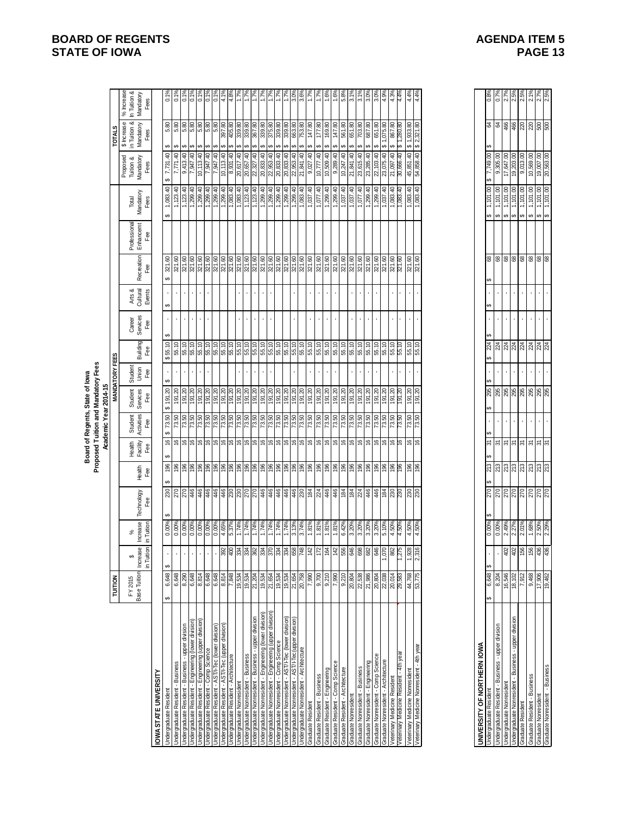|                                                                                                                                                                                               |                                                                                                                        |                                                                                                                                             |                                  |                   |                 |                           |                                           | Proposed Tuition and Mandatory Fees<br>Board of Regents, State of lowa                          |                          |                                                    |                           |                              |                                                                          |                                  |                                                                                                                                                            |                                            |                                          |                                         |
|-----------------------------------------------------------------------------------------------------------------------------------------------------------------------------------------------|------------------------------------------------------------------------------------------------------------------------|---------------------------------------------------------------------------------------------------------------------------------------------|----------------------------------|-------------------|-----------------|---------------------------|-------------------------------------------|-------------------------------------------------------------------------------------------------|--------------------------|----------------------------------------------------|---------------------------|------------------------------|--------------------------------------------------------------------------|----------------------------------|------------------------------------------------------------------------------------------------------------------------------------------------------------|--------------------------------------------|------------------------------------------|-----------------------------------------|
|                                                                                                                                                                                               | <b>TUITION</b>                                                                                                         |                                                                                                                                             |                                  |                   |                 |                           |                                           | Academic Year 2014-15                                                                           | <b>MANDATORY FEES</b>    |                                                    |                           |                              |                                                                          |                                  |                                                                                                                                                            |                                            | <b>TOTALS</b>                            |                                         |
|                                                                                                                                                                                               | FY 2015                                                                                                                | Increase<br>↮                                                                                                                               | Increase<br>℅                    | Technology<br>Fee | Heath<br>Fee    | Health<br>Facility<br>Fee | Student<br>Activities<br>Fee              | Student<br>Services                                                                             | Student<br>$\frac{1}{2}$ | Building<br>Fee                                    | Career<br>Services<br>Fee | Arts &<br>Cultural<br>Events | Recreation                                                               | Professional<br>Enhancemt<br>Fee | Mandatory<br>Total                                                                                                                                         | Proposed<br>Tuition &<br>Mandatory<br>Fees | \$ Increase<br>in Tuition &<br>Mandatory | % Increase<br>In Tuition &<br>Mandatory |
| OWASTATE UNIVERSITY                                                                                                                                                                           |                                                                                                                        | in Tuition                                                                                                                                  |                                  |                   |                 |                           |                                           | Fee                                                                                             |                          |                                                    |                           |                              | Fee                                                                      |                                  | Fees                                                                                                                                                       |                                            | Fees                                     | Fees                                    |
| Undergraduate Resident                                                                                                                                                                        | 6,648<br>↮                                                                                                             | ↮                                                                                                                                           | 0.00%                            | ↮                 | 196<br>↮        | 16                        | 73.50<br>↮                                | \$191.20                                                                                        | $\mathbf{r}$             | ↮<br>55.10<br>69                                   | ↮                         | 69                           | 321.60                                                                   |                                  | 1,083.40<br>↮                                                                                                                                              | 7,731.40<br>မာ                             | 5.80                                     | 0.1%                                    |
| Undergraduate Resident - Business                                                                                                                                                             | 6,648                                                                                                                  |                                                                                                                                             | 0.00%                            |                   |                 |                           | 73.50                                     |                                                                                                 |                          | 55.10                                              |                           |                              | 321.60                                                                   |                                  | 1,123.40                                                                                                                                                   | 7,771.40                                   | 5.80                                     | 0.1                                     |
| Undergraduate Resident - Business - upper division                                                                                                                                            | 8,290                                                                                                                  |                                                                                                                                             | 0.00%                            |                   |                 |                           | 73.50                                     | $\frac{191.20}{191.20}$                                                                         | ¥,                       |                                                    |                           | ¥.                           | 321.60                                                                   |                                  | 1,123.40                                                                                                                                                   | 04.3.40                                    |                                          | $\frac{6}{5}$                           |
| Undergraduate Resident - Engineering (lower division)<br>Undergraduate Resident - Engineering (lower division)                                                                                | 6,648<br>8,814                                                                                                         |                                                                                                                                             | 0.00%                            |                   |                 |                           | 73.50<br>73.50                            | $\frac{191.20}{191.20}$                                                                         | $\mathbf{r}$             | $\frac{1}{36}$<br>$\frac{1}{36}$<br>$\frac{1}{36}$ | $\epsilon$                | $\cdot$                      | 321.60<br>321.60                                                         |                                  | 1,299.40                                                                                                                                                   | 7,947.40<br>10,113.40                      |                                          | $\frac{0.19}{0.19}$                     |
|                                                                                                                                                                                               |                                                                                                                        |                                                                                                                                             |                                  |                   |                 |                           |                                           |                                                                                                 | ¥,                       |                                                    | $\epsilon$                | Ŷ.                           |                                                                          |                                  |                                                                                                                                                            |                                            |                                          |                                         |
|                                                                                                                                                                                               |                                                                                                                        |                                                                                                                                             |                                  |                   |                 |                           |                                           | $\frac{191.20}{191.20}$                                                                         |                          |                                                    |                           | $\mathbf{r}$                 |                                                                          |                                  |                                                                                                                                                            | 07.216'L<br>07.216'L                       |                                          | 0.1                                     |
| Undergraduate Resident - Comp Science<br>Undergraduate Resident - AST/I-Tec (Iower division)<br>Undergraduate Resident - AST/I-Tec (Iupper division)<br>Undergraduate Resident - Architecture | $\begin{array}{r} 6,648 \\ \hline 6,648 \\ \hline 8,814 \\ \hline 7,848 \\ \hline 19,534 \\ \hline 19,534 \end{array}$ |                                                                                                                                             | 0.00%<br>0.00%<br>0.00%<br>5.37% |                   |                 | <u>e e e e e e e e e</u>  | និន្ទន៍<br>ខ្លួននាំន្ទនៅ<br>ខ្លួននាំន្ទនៅ |                                                                                                 |                          |                                                    |                           |                              | elelele<br> alalala<br> alalala                                          |                                  | $\begin{array}{r} \n 1,299.40 \\  \hline\n 1,299.40 \\  \hline\n 1,299.40 \\  \hline\n 1,083.40 \\  \hline\n 1,083.40 \\  \hline\n 1,123.40\n \end{array}$ |                                            | မာ                                       | $\frac{1}{2}$<br>41                     |
|                                                                                                                                                                                               |                                                                                                                        | 392                                                                                                                                         |                                  |                   |                 |                           |                                           | 191.20<br>191.20<br>191.20                                                                      |                          |                                                    |                           |                              |                                                                          |                                  |                                                                                                                                                            | $\frac{10,113.40}{8,931.40}$               |                                          | $4.8^{\circ}$                           |
| Undergraduate Nonresident                                                                                                                                                                     |                                                                                                                        |                                                                                                                                             | 1.74%<br>1.74%                   |                   |                 | $\frac{1}{2}$             |                                           |                                                                                                 |                          |                                                    |                           |                              | 321.60<br>321.60                                                         |                                  |                                                                                                                                                            | 20,617.40                                  |                                          | i.r                                     |
| Undergraduate Nonresident - Business                                                                                                                                                          |                                                                                                                        |                                                                                                                                             |                                  |                   |                 | $\mathfrak{S}$            |                                           |                                                                                                 |                          |                                                    |                           |                              |                                                                          |                                  |                                                                                                                                                            | 20,657.40                                  | မာ                                       |                                         |
| Unisivip Jeddn - sseuisng - hepiseucon e penpergivision                                                                                                                                       | 21,204<br>19,534<br>19,534<br>20,758<br>20,758                                                                         | ន្ត្ <mark>ទី ន</mark> ្ត្រី ន្ត្រី ន្ត្រី                                                                                                  | 1.74%                            |                   |                 | <u>e e e e e e e e</u>    |                                           | 07:16                                                                                           |                          | 55.10                                              |                           |                              | 321.60                                                                   |                                  | 1,123.40                                                                                                                                                   | 22,327.40                                  | ↮                                        |                                         |
| Undergraduate Nonresident - Engineering (lower division)                                                                                                                                      |                                                                                                                        |                                                                                                                                             | 1.74%                            |                   |                 |                           |                                           | 07'161                                                                                          |                          |                                                    |                           |                              | 321.60<br>321.60                                                         |                                  | 1,299.40                                                                                                                                                   | 20,833.40                                  | 339.80<br>375.80<br>မာ                   |                                         |
| Undergraduate Nonresident - Engineering (upper division)<br>Undergraduate Nonresident - Comp Science                                                                                          |                                                                                                                        |                                                                                                                                             | 1.74%<br>1.74%                   |                   |                 |                           |                                           | 191.20                                                                                          |                          | 55.10<br>55.10                                     |                           |                              | 321.60                                                                   |                                  | 1,299.40<br>1,299.40                                                                                                                                       | 20,833.40                                  | Ø<br>Ø                                   |                                         |
| Jndergraduate Nonresident - AST/I-Tec (lower division)                                                                                                                                        |                                                                                                                        | ង្គ ង្គ ឌូ  <del>ឪ</del>  ដ្                                                                                                                | 1.74%                            |                   |                 |                           | ន្ទ្រូន <mark>ន</mark><br>ក្រុង ក្រុង     | 191.20                                                                                          |                          | 55.10                                              |                           |                              |                                                                          |                                  |                                                                                                                                                            | 20,833.40                                  | 339.80<br>339.80<br>↮                    |                                         |
| Undergraduate Nonresident - AST/I-Tec(upper division)                                                                                                                                         |                                                                                                                        |                                                                                                                                             | 3.13%                            |                   |                 |                           |                                           | 191.20                                                                                          |                          | $\frac{10}{55.70}$                                 |                           |                              | $\begin{array}{r}\n 321.60 \\  321.60 \\  \hline\n 321.60\n \end{array}$ |                                  | $\frac{1,299.40}{1,299.40}$                                                                                                                                | 22,953.40                                  | 663.80<br>မာ                             | Ğ,                                      |
| Jndergraduate Nonresident - Architecture                                                                                                                                                      |                                                                                                                        |                                                                                                                                             | 3.74%                            |                   |                 |                           |                                           |                                                                                                 |                          |                                                    |                           |                              |                                                                          |                                  |                                                                                                                                                            |                                            |                                          |                                         |
| Graduate Resident                                                                                                                                                                             | 7,990                                                                                                                  |                                                                                                                                             | 1.81%                            |                   |                 | $\frac{9}{9}$             | 73.50                                     | 191.20                                                                                          |                          | 55.10                                              |                           |                              | 321.60                                                                   |                                  | 1,037.40                                                                                                                                                   | 0,720,8                                    | 147.80                                   |                                         |
| Graduate Resident - Business                                                                                                                                                                  | $\frac{9,700}{9,210}$                                                                                                  |                                                                                                                                             | 1.81%                            |                   |                 |                           |                                           | 191.20                                                                                          |                          |                                                    |                           | $\mathbf{r}$                 | 321.60                                                                   |                                  | 1,077.40                                                                                                                                                   | 07.777.0                                   | 177.80<br>169.80                         |                                         |
| Graduate Resident - Engineering                                                                                                                                                               |                                                                                                                        |                                                                                                                                             | 1.81%                            |                   |                 |                           | 73.50<br>73.50<br>73.50                   | 191.20                                                                                          |                          | 55.10                                              |                           | ¥.                           | 321.60                                                                   |                                  | 1,299.40                                                                                                                                                   | 10,509.40                                  |                                          | $1.6^{\circ}$                           |
| Graduate Resident - Comp Science                                                                                                                                                              | 7,990<br>9,210                                                                                                         |                                                                                                                                             | 1.81%                            |                   |                 |                           |                                           | 191.20                                                                                          |                          | 55.10                                              |                           |                              | 321.60                                                                   |                                  | 07'662'1                                                                                                                                                   | 9,289.40                                   | 147.80                                   | $1.6^{\circ}$                           |
| Graduate Resident - Architecture<br>Graduate Nonresident                                                                                                                                      |                                                                                                                        | $\frac{1}{2}$ $\frac{1}{2}$ $\frac{1}{2}$ $\frac{1}{2}$ $\frac{1}{2}$ $\frac{1}{2}$ $\frac{1}{2}$ $\frac{1}{2}$ $\frac{1}{2}$ $\frac{1}{2}$ | 6.42%<br>3.20%                   |                   |                 | e e e e e e               | 73.50<br>73.50                            | 191.20<br>191.20                                                                                |                          | 55.10                                              |                           |                              | 321.60<br>321.60                                                         |                                  | 1,037.40<br>1,037.40                                                                                                                                       | 10,247.40<br>21,841.40                     |                                          | 5.8%<br>$\frac{1}{\infty}$              |
| Sraduate Nonresident - Business                                                                                                                                                               |                                                                                                                        |                                                                                                                                             | 3.20%                            |                   |                 |                           |                                           | 191.20                                                                                          |                          |                                                    | $\mathbf{r}$              | $\mathbf{r}$                 |                                                                          |                                  |                                                                                                                                                            | 23,615.40                                  |                                          | $3.1\%$                                 |
| Graduate Nonresident - Engineering                                                                                                                                                            | $\begin{array}{r} 20,804 \\ 22,538 \\ 21,986 \\ 20,804 \\ 20,038 \\ 20,014 \\ 20,038 \\ \end{array}$                   |                                                                                                                                             | 3.20%                            |                   |                 |                           | 73.50                                     | 191.20                                                                                          |                          | 55.10                                              | $\cdot$                   | $\bar{\phantom{a}}$          | 321.60<br>321.60                                                         |                                  | 1,077.40<br>1,299.40                                                                                                                                       | 23,285.40                                  |                                          | 3.0%                                    |
| Graduate Nonresident - Comp Science                                                                                                                                                           |                                                                                                                        | 646                                                                                                                                         |                                  |                   |                 | $\mathfrak{g}$            |                                           | 191.20                                                                                          |                          |                                                    |                           |                              | 321.60                                                                   |                                  |                                                                                                                                                            | 22,103.40                                  |                                          | 3.0%                                    |
|                                                                                                                                                                                               |                                                                                                                        | 21215                                                                                                                                       | 3.20%<br>5.10%<br>4.50%          |                   |                 | 999                       | ន <mark>្ទា</mark><br>ខេត្ត<br>ខេត្ត      | 191.20                                                                                          |                          |                                                    |                           |                              | 371.60<br>371.60<br>371.60                                               |                                  | $\frac{1,299.40}{1,037.40}$ $\frac{1,083.40}{1,083.40}$                                                                                                    | 23,075.40                                  | 651.80<br>075.80<br>867.80               | $4.9^{\circ}$                           |
| Graduate Nonresident - Architecture<br>Veterinary Medicine Resident<br>Veterinary Medicine Resident - 4th year                                                                                |                                                                                                                        |                                                                                                                                             |                                  |                   |                 |                           |                                           |                                                                                                 |                          |                                                    |                           |                              |                                                                          |                                  |                                                                                                                                                            | 07.760                                     |                                          | $4.3^{\circ}$                           |
|                                                                                                                                                                                               |                                                                                                                        |                                                                                                                                             | 4.50%                            |                   |                 |                           |                                           | 191.20                                                                                          |                          |                                                    |                           |                              |                                                                          |                                  |                                                                                                                                                            | 30,666.40                                  | ,280.80                                  |                                         |
| Veterinary Medicine Nonresident<br>Veterinary Medicine Nonresident - 4th year                                                                                                                 | 53,775<br>44,768                                                                                                       | 1,928                                                                                                                                       | 4.50%<br>4.50%                   |                   | \$8             | $\frac{9}{9}$             | $\frac{73.50}{73.50}$                     | 191.20                                                                                          |                          | $rac{10}{55.10}$                                   |                           |                              | 321.60<br>321.60                                                         |                                  | 1,083.40<br>1,083.40                                                                                                                                       | 45,851.40                                  | 08 152,321.80                            | $4.4%$<br>4.4%                          |
|                                                                                                                                                                                               |                                                                                                                        |                                                                                                                                             |                                  |                   |                 |                           |                                           |                                                                                                 |                          |                                                    |                           |                              |                                                                          |                                  |                                                                                                                                                            |                                            |                                          |                                         |
| UNIVERSITY OF NORTHERN IOWA                                                                                                                                                                   |                                                                                                                        |                                                                                                                                             |                                  |                   |                 |                           |                                           |                                                                                                 |                          |                                                    |                           |                              |                                                                          |                                  |                                                                                                                                                            |                                            |                                          |                                         |
| Undergraduate Resident<br>Undergraduate Resident - Business - upper division                                                                                                                  | 6,648<br>မာ                                                                                                            |                                                                                                                                             | $\frac{0.00\%}{0.00\%}$          |                   | 213             | ಜ ಜ                       |                                           |                                                                                                 | 69                       | 24                                                 |                           | မာ                           | 88                                                                       |                                  | 1,101.00                                                                                                                                                   | 7,749.00<br>9,305.00                       |                                          | $\frac{988}{0.7\%}$                     |
|                                                                                                                                                                                               | 8,204                                                                                                                  |                                                                                                                                             |                                  |                   | 213             |                           |                                           |                                                                                                 |                          | 224                                                |                           |                              |                                                                          |                                  | မှာ မှာ                                                                                                                                                    |                                            |                                          |                                         |
| Undergraduate Nonresident                                                                                                                                                                     | 16,546                                                                                                                 | 402                                                                                                                                         | 2.49%                            | ននននននន           | $\frac{25}{25}$ | $\approx$                 | $\mathbf{r}$                              | $\frac{18}{38}$ $\frac{18}{38}$ $\frac{18}{38}$ $\frac{18}{38}$ $\frac{18}{38}$ $\frac{18}{38}$ |                          | 224                                                |                           | ×.                           | $\pmb{68}$                                                               |                                  | 1,101.00<br>မှာ မှာ မှာ                                                                                                                                    | 17,647.00                                  | <mark>ន ឌ ឌូ ឌុ </mark> ន ន ខូ ខ្ល       | 2.7%                                    |
| Undergraduate Nonresident - Business - upper division<br>Graduate Resident                                                                                                                    | $\frac{18,102}{7,912}$                                                                                                 |                                                                                                                                             | 2.27%<br>2.01%                   |                   |                 | $\frac{1}{25}$            |                                           |                                                                                                 |                          |                                                    |                           |                              | 88                                                                       |                                  | $\frac{1,101,00}{1,101,00}$                                                                                                                                | 19,203.00<br>9,013.00                      |                                          | $2.5\%$<br>$2.5\%$                      |
|                                                                                                                                                                                               |                                                                                                                        | $rac{2}{156}$                                                                                                                               |                                  |                   |                 |                           |                                           |                                                                                                 |                          | នី <mark>ខ្ល</mark> ី ខ្ល                          |                           |                              |                                                                          |                                  |                                                                                                                                                            |                                            |                                          |                                         |
| Sraduate Resident - Business                                                                                                                                                                  | 9,468                                                                                                                  |                                                                                                                                             | 1.68%                            |                   | 213             | 5                         |                                           |                                                                                                 |                          |                                                    |                           |                              | 89                                                                       |                                  | 1,101.00                                                                                                                                                   | 10,569.00                                  |                                          | 2.1%                                    |
| Graduate Nonresident<br>Graduate Nonresident - Business                                                                                                                                       | 17,906<br>19.462                                                                                                       | 436                                                                                                                                         | 2.50%<br>2.29%                   |                   | 213             | ಹ ಹ                       |                                           |                                                                                                 |                          | 224<br>224                                         |                           |                              | 88                                                                       |                                  | 1,101.00<br>မှာ မှာ                                                                                                                                        | 19,007.00<br>20.563.00                     |                                          | 2.7%<br>2.5%                            |

| SITY OF NORTHERN IO                          |            |          |            |           |          |         |   |                     |   |                      |   |                |    |    |          |               |         |      |
|----------------------------------------------|------------|----------|------------|-----------|----------|---------|---|---------------------|---|----------------------|---|----------------|----|----|----------|---------------|---------|------|
| uate Resident                                | A<br>6.648 |          | Ą<br>0.00% | မာ<br>270 | Ø<br>213 | Ð<br>స్ |   | 295<br>$\mathbf{e}$ | S | 24<br>$\overline{ }$ | Ą | $\overline{a}$ | 8  | 6Ĥ | ,101.00  | 7,749.00<br>S | Z<br>မာ | 0.8% |
| rate Resident - Business - upper division    | 8,204      |          | 0.00%      | 270       | 213      | રુ      | ł | 295                 |   | 224                  |   |                | 8  | ↮  | 1,101.00 | 9,305.00      | रु      |      |
| uate Nonresident                             | 6,546      | g        | $-49%$     | 270       | 213      | ᢌ       | ł | 295                 |   | 224                  |   |                | 89 | ↮  | 1,101.00 | ,647.00       | 466     |      |
| late Nonresident - Business - upper division |            | <b>S</b> | 2.27%      | 270       | 213      | ᢌ       | ٠ | 295                 |   | 224                  |   |                | 8  | ↮  | 1,101.00 | 19,203.00     | 466     |      |
| Resident                                     | (912)      | ន ន ន    | 2.01%      | 270       | 213      | રુ      | ł | 295                 | ٠ | 224                  |   |                | 8  | ക  | 1,101.00 | 9,013.00      | 220     |      |
| Resident - Business                          | 9,468      |          | .68%       | 270       | 213      | ᢌ       | ł | 295                 |   | 224                  |   |                | 89 | ക  | 1,101.00 | 10,569.00     | 220     |      |
| Nonresident                                  | 7,906      |          | 2.50%      | 270       | 213      | ᢌ       | ł | 295                 |   | 24                   |   |                | 8  | မာ | 1,101.00 | 19,007.00     | 500     |      |
| onresident - Business                        | 9,462      | 88       | 2.29%      | 270       | 213      | ᢌ       |   | 295                 |   | 224                  |   |                | 8  | မာ | 1,101.00 | 20,563.00     | 500     |      |
|                                              |            |          |            |           |          |         |   |                     |   |                      |   |                |    |    |          |               |         |      |

# **BOARD OF REGENTS**<br> **BOARD OF REGENTS**<br> **BOARD OF IOWA**<br> **BOARD OF IOWA STATE OF IOWA**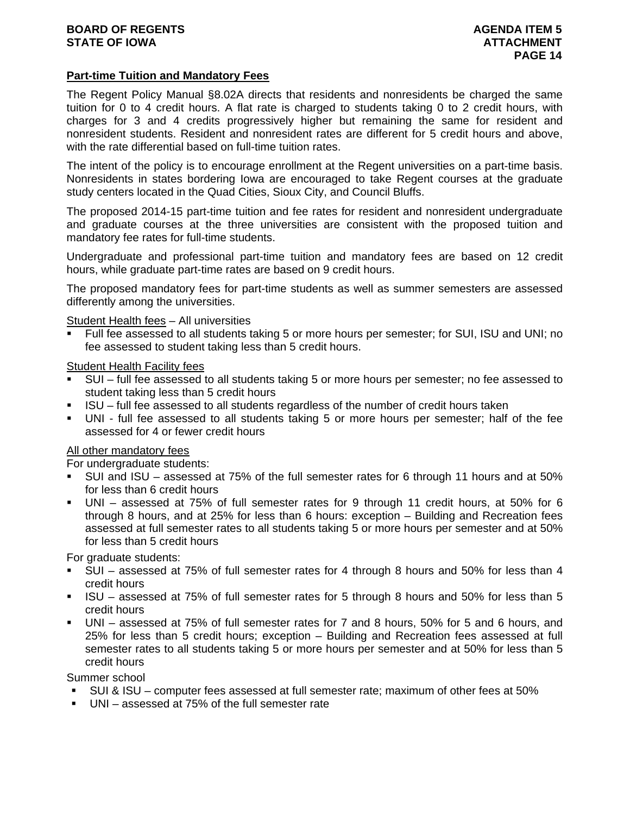# **Part-time Tuition and Mandatory Fees**

The Regent Policy Manual §8.02A directs that residents and nonresidents be charged the same tuition for 0 to 4 credit hours. A flat rate is charged to students taking 0 to 2 credit hours, with charges for 3 and 4 credits progressively higher but remaining the same for resident and nonresident students. Resident and nonresident rates are different for 5 credit hours and above, with the rate differential based on full-time tuition rates.

The intent of the policy is to encourage enrollment at the Regent universities on a part-time basis. Nonresidents in states bordering Iowa are encouraged to take Regent courses at the graduate study centers located in the Quad Cities, Sioux City, and Council Bluffs.

The proposed 2014-15 part-time tuition and fee rates for resident and nonresident undergraduate and graduate courses at the three universities are consistent with the proposed tuition and mandatory fee rates for full-time students.

Undergraduate and professional part-time tuition and mandatory fees are based on 12 credit hours, while graduate part-time rates are based on 9 credit hours.

The proposed mandatory fees for part-time students as well as summer semesters are assessed differently among the universities.

Student Health fees – All universities

 Full fee assessed to all students taking 5 or more hours per semester; for SUI, ISU and UNI; no fee assessed to student taking less than 5 credit hours.

Student Health Facility fees

- SUI full fee assessed to all students taking 5 or more hours per semester; no fee assessed to student taking less than 5 credit hours
- ISU full fee assessed to all students regardless of the number of credit hours taken
- UNI full fee assessed to all students taking 5 or more hours per semester; half of the fee assessed for 4 or fewer credit hours

### All other mandatory fees

For undergraduate students:

- SUI and ISU assessed at 75% of the full semester rates for 6 through 11 hours and at 50% for less than 6 credit hours
- UNI assessed at 75% of full semester rates for 9 through 11 credit hours, at 50% for 6 through 8 hours, and at 25% for less than 6 hours: exception – Building and Recreation fees assessed at full semester rates to all students taking 5 or more hours per semester and at 50% for less than 5 credit hours

For graduate students:

- SUI assessed at 75% of full semester rates for 4 through 8 hours and 50% for less than 4 credit hours
- ISU assessed at 75% of full semester rates for 5 through 8 hours and 50% for less than 5 credit hours
- UNI assessed at 75% of full semester rates for 7 and 8 hours, 50% for 5 and 6 hours, and 25% for less than 5 credit hours; exception – Building and Recreation fees assessed at full semester rates to all students taking 5 or more hours per semester and at 50% for less than 5 credit hours

Summer school

- SUI & ISU computer fees assessed at full semester rate; maximum of other fees at 50%
- UNI assessed at 75% of the full semester rate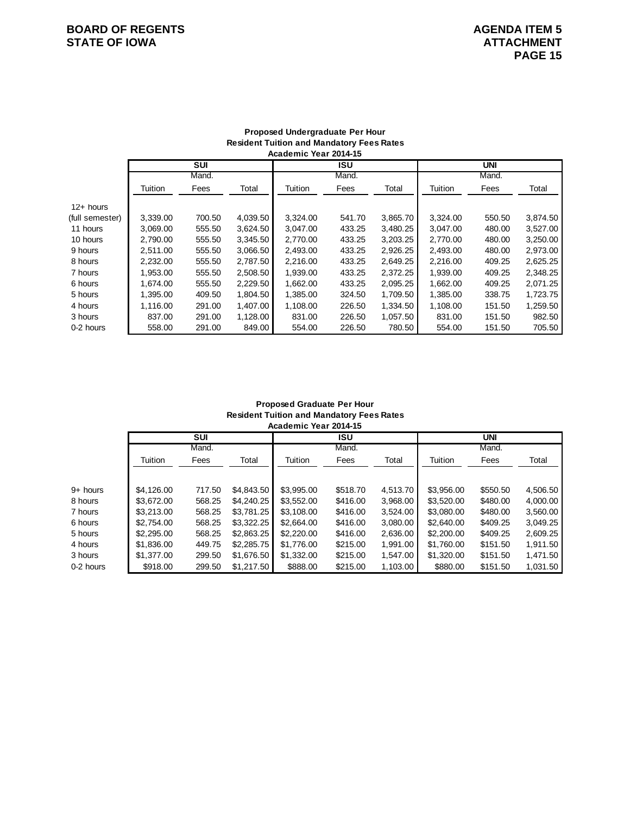# **BOARD OF REGENTS**<br> **BOARD OF REGENTS**<br> **BOARD OF IOWA**<br> **ATTACHMENT STATE OF IOWA**

#### **Proposed Undergraduate Per Hour Resident Tuition and Mandatory Fees Rates Academic Year 2014-15**

|                 | <b>SUI</b> |        |          | ISU      |        |          | UNI      |        |          |
|-----------------|------------|--------|----------|----------|--------|----------|----------|--------|----------|
|                 | Mand.      |        |          | Mand.    |        |          | Mand.    |        |          |
|                 | Tuition    | Fees   | Total    | Tuition  | Fees   | Total    | Tuition  | Fees   | Total    |
| $12+$ hours     |            |        |          |          |        |          |          |        |          |
| (full semester) | 3,339.00   | 700.50 | 4,039.50 | 3,324.00 | 541.70 | 3,865.70 | 3,324.00 | 550.50 | 3,874.50 |
| 11 hours        | 3.069.00   | 555.50 | 3.624.50 | 3.047.00 | 433.25 | 3.480.25 | 3.047.00 | 480.00 | 3.527.00 |
| 10 hours        | 2.790.00   | 555.50 | 3.345.50 | 2.770.00 | 433.25 | 3.203.25 | 2.770.00 | 480.00 | 3,250.00 |
| 9 hours         | 2,511.00   | 555.50 | 3,066.50 | 2,493.00 | 433.25 | 2,926.25 | 2,493.00 | 480.00 | 2,973.00 |
| 8 hours         | 2.232.00   | 555.50 | 2.787.50 | 2.216.00 | 433.25 | 2.649.25 | 2.216.00 | 409.25 | 2,625.25 |
| 7 hours         | 1.953.00   | 555.50 | 2.508.50 | 1.939.00 | 433.25 | 2.372.25 | 1.939.00 | 409.25 | 2,348.25 |
| 6 hours         | 1.674.00   | 555.50 | 2,229.50 | 1,662.00 | 433.25 | 2.095.25 | 1,662.00 | 409.25 | 2,071.25 |
| 5 hours         | 1,395.00   | 409.50 | 1,804.50 | 1,385.00 | 324.50 | 1,709.50 | 1,385.00 | 338.75 | 1,723.75 |
| 4 hours         | 1.116.00   | 291.00 | 1.407.00 | 1.108.00 | 226.50 | 1.334.50 | 1.108.00 | 151.50 | 1.259.50 |
| 3 hours         | 837.00     | 291.00 | 1,128.00 | 831.00   | 226.50 | 1.057.50 | 831.00   | 151.50 | 982.50   |
| 0-2 hours       | 558.00     | 291.00 | 849.00   | 554.00   | 226.50 | 780.50   | 554.00   | 151.50 | 705.50   |

#### **Proposed Graduate Per Hour Resident Tuition and Mandatory Fees Rates Academic Year 2014-15**

|           | <b>SUI</b> |        |            | <b>ISU</b> |          |          | <b>UNI</b> |          |          |
|-----------|------------|--------|------------|------------|----------|----------|------------|----------|----------|
|           | Mand.      |        |            | Mand.      |          |          | Mand.      |          |          |
|           | Tuition    | Fees   | Total      | Tuition    | Fees     | Total    | Tuition    | Fees     | Total    |
|           |            |        |            |            |          |          |            |          |          |
| 9+ hours  | \$4,126,00 | 717.50 | \$4,843.50 | \$3,995.00 | \$518.70 | 4,513.70 | \$3.956.00 | \$550.50 | 4,506.50 |
| 8 hours   | \$3.672.00 | 568.25 | \$4,240.25 | \$3.552.00 | \$416.00 | 3.968.00 | \$3.520.00 | \$480.00 | 4.000.00 |
| 7 hours   | \$3,213,00 | 568.25 | \$3.781.25 | \$3,108,00 | \$416.00 | 3.524.00 | \$3.080.00 | \$480.00 | 3,560.00 |
| 6 hours   | \$2,754.00 | 568.25 | \$3,322.25 | \$2,664.00 | \$416.00 | 3,080.00 | \$2,640.00 | \$409.25 | 3,049.25 |
| 5 hours   | \$2,295,00 | 568.25 | \$2,863.25 | \$2,220,00 | \$416.00 | 2,636.00 | \$2,200,00 | \$409.25 | 2.609.25 |
| 4 hours   | \$1,836,00 | 449.75 | \$2,285.75 | \$1,776.00 | \$215.00 | 1.991.00 | \$1,760,00 | \$151.50 | 1.911.50 |
| 3 hours   | \$1,377.00 | 299.50 | \$1,676.50 | \$1,332.00 | \$215.00 | 1,547.00 | \$1,320.00 | \$151.50 | 1,471.50 |
| 0-2 hours | \$918.00   | 299.50 | \$1,217.50 | \$888.00   | \$215.00 | 1,103.00 | \$880.00   | \$151.50 | 1,031.50 |
|           |            |        |            |            |          |          |            |          |          |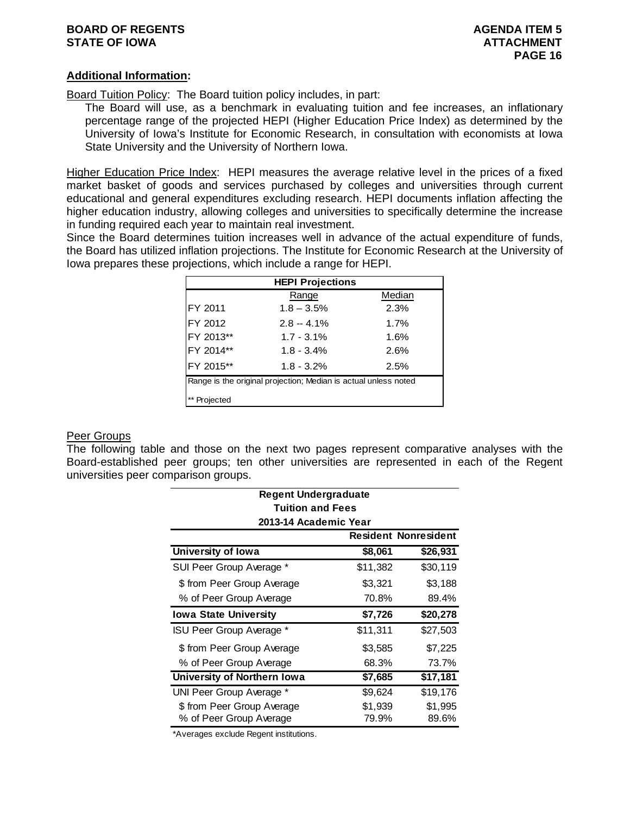# **BOARD OF REGENTS AGENUS EXAMPLE 20 AGENDA ITEM 5 STATE OF IOWA ATTACHMENT**

# **Additional Information:**

Board Tuition Policy: The Board tuition policy includes, in part:

The Board will use, as a benchmark in evaluating tuition and fee increases, an inflationary percentage range of the projected HEPI (Higher Education Price Index) as determined by the University of Iowa's Institute for Economic Research, in consultation with economists at Iowa State University and the University of Northern Iowa.

Higher Education Price Index: HEPI measures the average relative level in the prices of a fixed market basket of goods and services purchased by colleges and universities through current educational and general expenditures excluding research. HEPI documents inflation affecting the higher education industry, allowing colleges and universities to specifically determine the increase in funding required each year to maintain real investment.

Since the Board determines tuition increases well in advance of the actual expenditure of funds, the Board has utilized inflation projections. The Institute for Economic Research at the University of Iowa prepares these projections, which include a range for HEPI.

| <b>HEPI Projections</b>                                         |               |        |  |  |  |
|-----------------------------------------------------------------|---------------|--------|--|--|--|
|                                                                 | Range         | Median |  |  |  |
| FY 2011                                                         | $1.8 - 3.5%$  | 2.3%   |  |  |  |
| FY 2012                                                         | $2.8 - 4.1\%$ | 1.7%   |  |  |  |
| FY 2013**                                                       | $1.7 - 3.1\%$ | 1.6%   |  |  |  |
| FY 2014**                                                       | $1.8 - 3.4%$  | 2.6%   |  |  |  |
| FY 2015**                                                       | $1.8 - 3.2%$  | 2.5%   |  |  |  |
| Range is the original projection; Median is actual unless noted |               |        |  |  |  |
| Projected                                                       |               |        |  |  |  |

# Peer Groups

The following table and those on the next two pages represent comparative analyses with the Board-established peer groups; ten other universities are represented in each of the Regent universities peer comparison groups.

| <b>Regent Undergraduate</b>  |                             |          |  |  |  |  |
|------------------------------|-----------------------------|----------|--|--|--|--|
| Tuition and Fees             |                             |          |  |  |  |  |
| 2013-14 Academic Year        |                             |          |  |  |  |  |
|                              | <b>Resident Nonresident</b> |          |  |  |  |  |
| University of Iowa           | \$8,061                     | \$26,931 |  |  |  |  |
| SUI Peer Group Average *     | \$11,382                    | \$30,119 |  |  |  |  |
| \$ from Peer Group Average   | \$3,321                     | \$3,188  |  |  |  |  |
| % of Peer Group Average      | 70.8%                       | 89.4%    |  |  |  |  |
| <b>Iowa State University</b> | \$7,726                     | \$20,278 |  |  |  |  |
| ISU Peer Group Average *     | \$11,311                    | \$27,503 |  |  |  |  |
| \$ from Peer Group Average   | \$3,585                     | \$7,225  |  |  |  |  |
| % of Peer Group Average      | 68.3%                       | 73.7%    |  |  |  |  |
| University of Northern Iowa  | \$7,685                     | \$17,181 |  |  |  |  |
| UNI Peer Group Average *     | \$9,624                     | \$19,176 |  |  |  |  |
| \$ from Peer Group Average   | \$1,939                     | \$1,995  |  |  |  |  |
| % of Peer Group Average      | 79.9%                       | 89.6%    |  |  |  |  |

\*Averages exclude Regent institutions.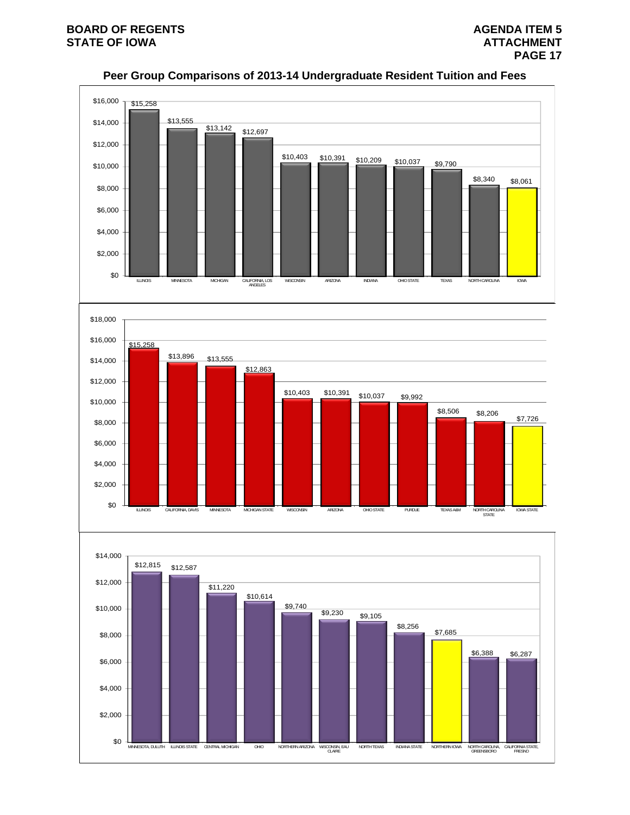

# **Peer Group Comparisons of 2013-14 Undergraduate Resident Tuition and Fees**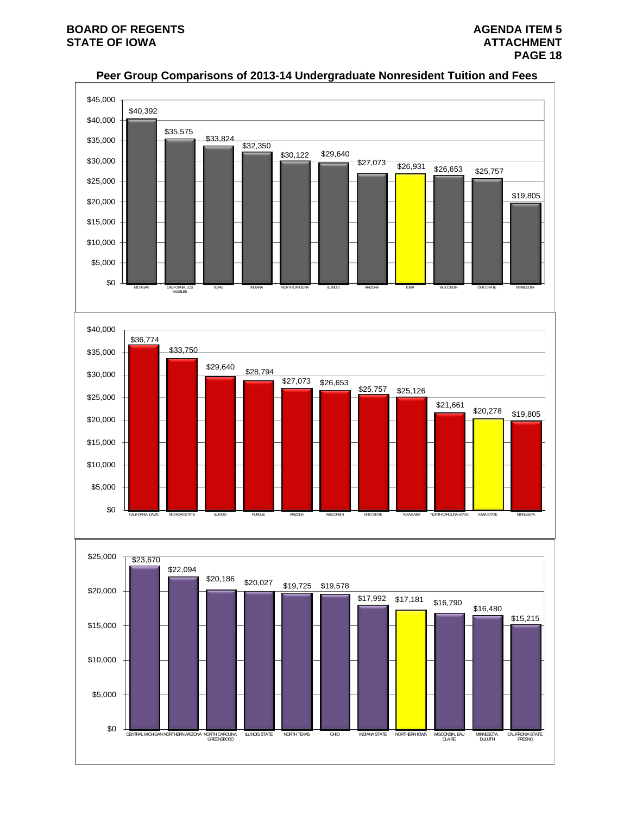

# **Peer Group Comparisons of 2013-14 Undergraduate Nonresident Tuition and Fees**